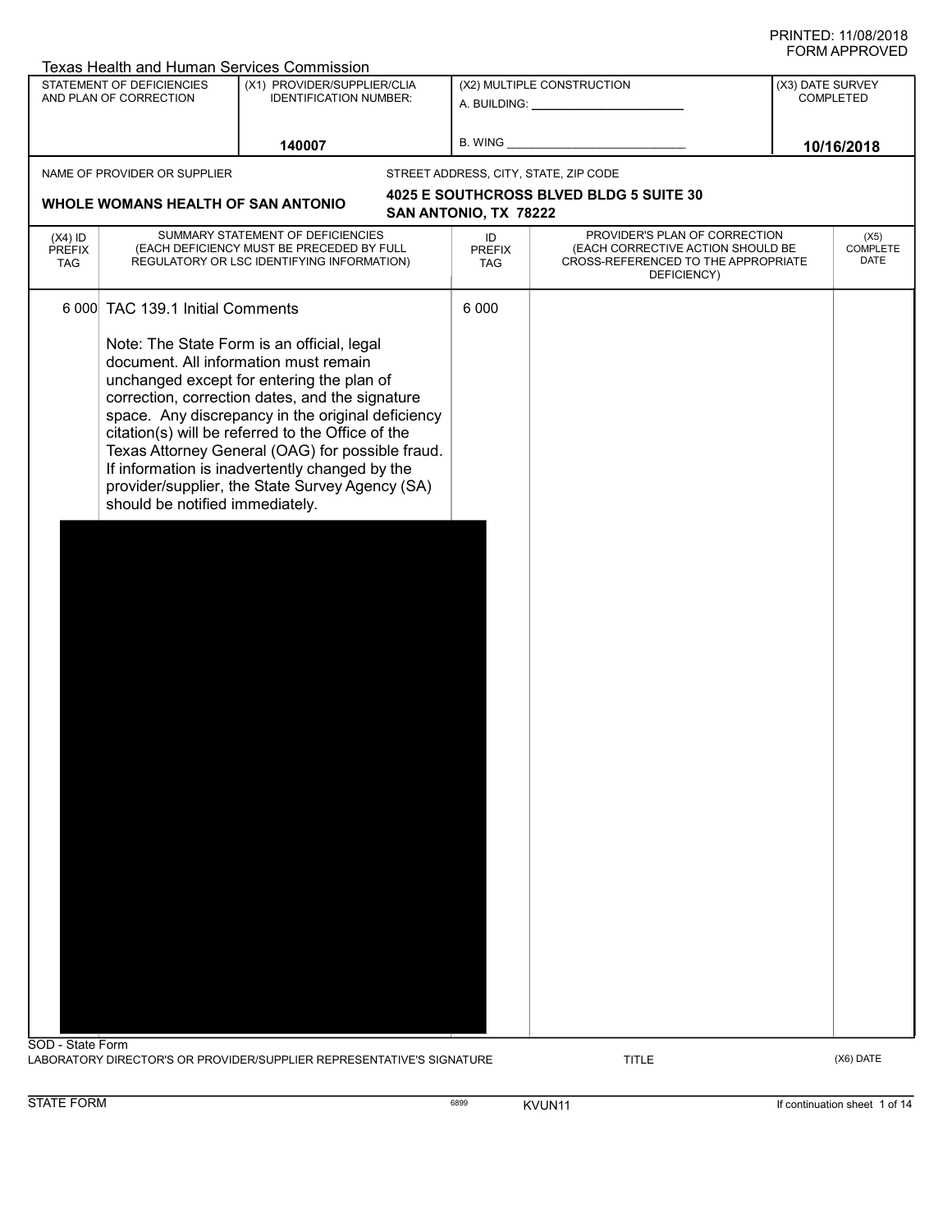|                                          | <b>Texas Health and Human Services Commission</b>                   |                                                                                                                                                                                                                                                                                                                                                                                                                                                        |                                                             |                                                                                                                          |                               |                                 |
|------------------------------------------|---------------------------------------------------------------------|--------------------------------------------------------------------------------------------------------------------------------------------------------------------------------------------------------------------------------------------------------------------------------------------------------------------------------------------------------------------------------------------------------------------------------------------------------|-------------------------------------------------------------|--------------------------------------------------------------------------------------------------------------------------|-------------------------------|---------------------------------|
|                                          | <b>STATEMENT OF DEFICIENCIES</b><br>AND PLAN OF CORRECTION          | (X1) PROVIDER/SUPPLIER/CLIA<br><b>IDENTIFICATION NUMBER:</b>                                                                                                                                                                                                                                                                                                                                                                                           | (X2) MULTIPLE CONSTRUCTION<br>A. BUILDING: ________________ |                                                                                                                          | (X3) DATE SURVEY<br>COMPLETED |                                 |
|                                          |                                                                     | 140007                                                                                                                                                                                                                                                                                                                                                                                                                                                 | <b>B. WING</b>                                              |                                                                                                                          |                               | 10/16/2018                      |
|                                          | NAME OF PROVIDER OR SUPPLIER                                        |                                                                                                                                                                                                                                                                                                                                                                                                                                                        |                                                             | STREET ADDRESS, CITY, STATE, ZIP CODE                                                                                    |                               |                                 |
|                                          | WHOLE WOMANS HEALTH OF SAN ANTONIO                                  |                                                                                                                                                                                                                                                                                                                                                                                                                                                        | SAN ANTONIO, TX 78222                                       | 4025 E SOUTHCROSS BLVED BLDG 5 SUITE 30                                                                                  |                               |                                 |
| $(X4)$ ID<br><b>PREFIX</b><br><b>TAG</b> |                                                                     | SUMMARY STATEMENT OF DEFICIENCIES<br>(EACH DEFICIENCY MUST BE PRECEDED BY FULL<br>REGULATORY OR LSC IDENTIFYING INFORMATION)                                                                                                                                                                                                                                                                                                                           | ID<br><b>PREFIX</b><br><b>TAG</b>                           | PROVIDER'S PLAN OF CORRECTION<br>(EACH CORRECTIVE ACTION SHOULD BE<br>CROSS-REFERENCED TO THE APPROPRIATE<br>DEFICIENCY) |                               | (X5)<br><b>COMPLETE</b><br>DATE |
|                                          | 6 000 TAC 139.1 Initial Comments<br>should be notified immediately. | Note: The State Form is an official, legal<br>document. All information must remain<br>unchanged except for entering the plan of<br>correction, correction dates, and the signature<br>space. Any discrepancy in the original deficiency<br>citation(s) will be referred to the Office of the<br>Texas Attorney General (OAG) for possible fraud.<br>If information is inadvertently changed by the<br>provider/supplier, the State Survey Agency (SA) | 6 0 0 0                                                     |                                                                                                                          |                               |                                 |
|                                          |                                                                     |                                                                                                                                                                                                                                                                                                                                                                                                                                                        |                                                             |                                                                                                                          |                               |                                 |
| SOD - State Form                         |                                                                     | LABORATORY DIRECTOR'S OR PROVIDER/SUPPLIER REPRESENTATIVE'S SIGNATURE                                                                                                                                                                                                                                                                                                                                                                                  |                                                             | <b>TITLE</b>                                                                                                             |                               | (X6) DATE                       |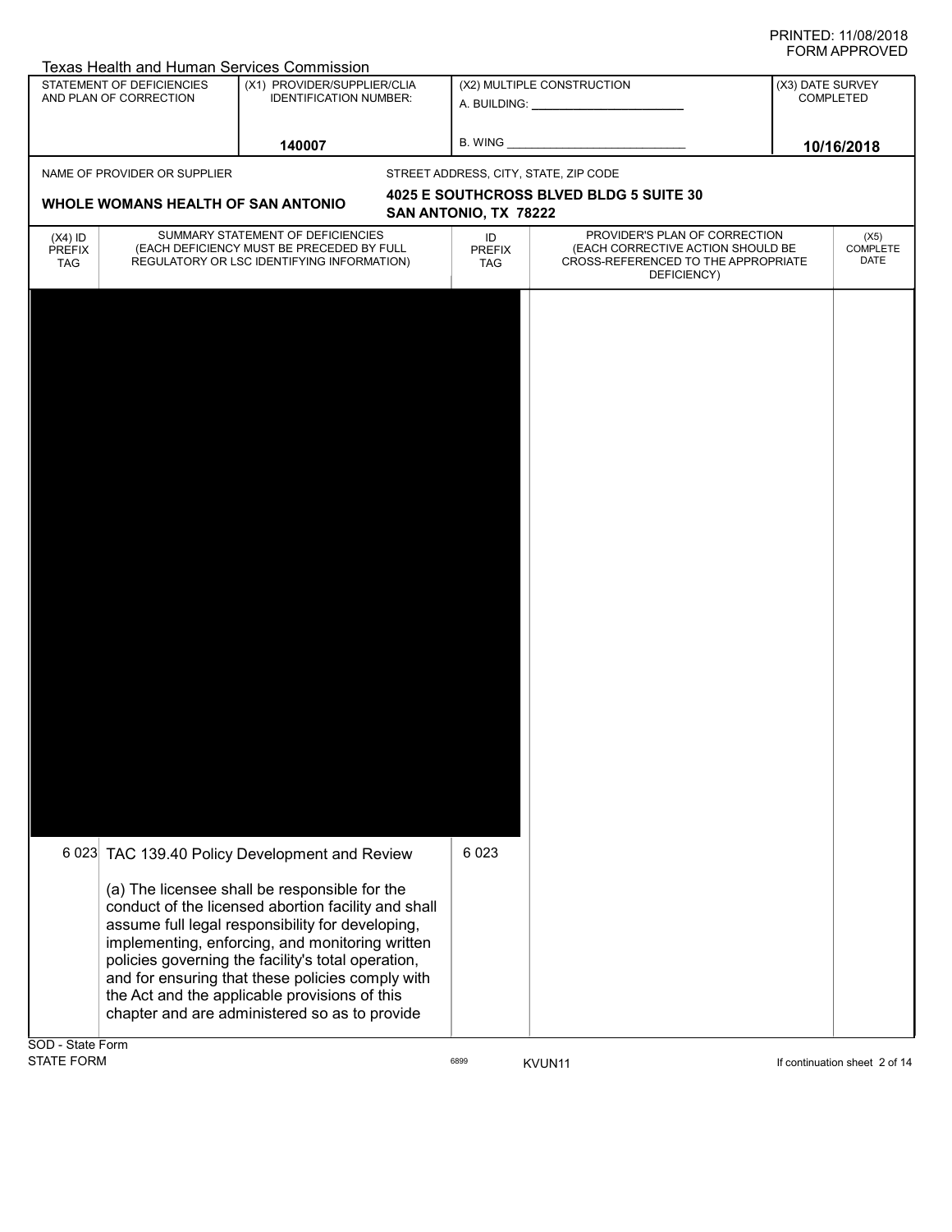| Texas Health and Human Services Commission |
|--------------------------------------------|
|--------------------------------------------|

|                             |                                    | Texas Health and Human Services Commission                                     |                       |                                                                    |                  |                  |
|-----------------------------|------------------------------------|--------------------------------------------------------------------------------|-----------------------|--------------------------------------------------------------------|------------------|------------------|
|                             | STATEMENT OF DEFICIENCIES          | (X1) PROVIDER/SUPPLIER/CLIA                                                    |                       | (X2) MULTIPLE CONSTRUCTION                                         | (X3) DATE SURVEY |                  |
|                             | AND PLAN OF CORRECTION             | <b>IDENTIFICATION NUMBER:</b>                                                  |                       |                                                                    |                  | <b>COMPLETED</b> |
|                             |                                    |                                                                                |                       |                                                                    |                  |                  |
|                             |                                    |                                                                                |                       |                                                                    |                  |                  |
|                             |                                    | 140007                                                                         |                       |                                                                    |                  | 10/16/2018       |
|                             | NAME OF PROVIDER OR SUPPLIER       |                                                                                |                       | STREET ADDRESS, CITY, STATE, ZIP CODE                              |                  |                  |
|                             |                                    |                                                                                |                       | <b>4025 E SOUTHCROSS BLVED BLDG 5 SUITE 30</b>                     |                  |                  |
|                             | WHOLE WOMANS HEALTH OF SAN ANTONIO |                                                                                | SAN ANTONIO, TX 78222 |                                                                    |                  |                  |
|                             |                                    |                                                                                |                       |                                                                    |                  |                  |
| $(X4)$ ID                   |                                    | SUMMARY STATEMENT OF DEFICIENCIES<br>(EACH DEFICIENCY MUST BE PRECEDED BY FULL | ID                    | PROVIDER'S PLAN OF CORRECTION<br>(EACH CORRECTIVE ACTION SHOULD BE |                  | (X5)<br>COMPLETE |
| <b>PREFIX</b><br><b>TAG</b> |                                    | REGULATORY OR LSC IDENTIFYING INFORMATION)                                     | <b>PREFIX</b><br>TAG  | CROSS-REFERENCED TO THE APPROPRIATE                                |                  | DATE             |
|                             |                                    |                                                                                |                       | DEFICIENCY)                                                        |                  |                  |
|                             |                                    |                                                                                |                       |                                                                    |                  |                  |
|                             |                                    |                                                                                |                       |                                                                    |                  |                  |
|                             |                                    |                                                                                |                       |                                                                    |                  |                  |
|                             |                                    |                                                                                |                       |                                                                    |                  |                  |
|                             |                                    |                                                                                |                       |                                                                    |                  |                  |
|                             |                                    |                                                                                |                       |                                                                    |                  |                  |
|                             |                                    |                                                                                |                       |                                                                    |                  |                  |
|                             |                                    |                                                                                |                       |                                                                    |                  |                  |
|                             |                                    |                                                                                |                       |                                                                    |                  |                  |
|                             |                                    |                                                                                |                       |                                                                    |                  |                  |
|                             |                                    |                                                                                |                       |                                                                    |                  |                  |
|                             |                                    |                                                                                |                       |                                                                    |                  |                  |
|                             |                                    |                                                                                |                       |                                                                    |                  |                  |
|                             |                                    |                                                                                |                       |                                                                    |                  |                  |
|                             |                                    |                                                                                |                       |                                                                    |                  |                  |
|                             |                                    |                                                                                |                       |                                                                    |                  |                  |
|                             |                                    |                                                                                |                       |                                                                    |                  |                  |
|                             |                                    |                                                                                |                       |                                                                    |                  |                  |
|                             |                                    |                                                                                |                       |                                                                    |                  |                  |
|                             |                                    |                                                                                |                       |                                                                    |                  |                  |
|                             |                                    |                                                                                |                       |                                                                    |                  |                  |
|                             |                                    |                                                                                |                       |                                                                    |                  |                  |
|                             |                                    |                                                                                |                       |                                                                    |                  |                  |
|                             |                                    |                                                                                |                       |                                                                    |                  |                  |
|                             |                                    |                                                                                |                       |                                                                    |                  |                  |
|                             |                                    |                                                                                |                       |                                                                    |                  |                  |
|                             |                                    |                                                                                |                       |                                                                    |                  |                  |
|                             |                                    |                                                                                |                       |                                                                    |                  |                  |
|                             |                                    |                                                                                |                       |                                                                    |                  |                  |
|                             |                                    |                                                                                |                       |                                                                    |                  |                  |
|                             |                                    |                                                                                |                       |                                                                    |                  |                  |
|                             |                                    |                                                                                |                       |                                                                    |                  |                  |
|                             |                                    |                                                                                |                       |                                                                    |                  |                  |
|                             |                                    |                                                                                | 6 0 23                |                                                                    |                  |                  |
|                             |                                    | 6 023 TAC 139.40 Policy Development and Review                                 |                       |                                                                    |                  |                  |
|                             |                                    |                                                                                |                       |                                                                    |                  |                  |
|                             |                                    | (a) The licensee shall be responsible for the                                  |                       |                                                                    |                  |                  |
|                             |                                    | conduct of the licensed abortion facility and shall                            |                       |                                                                    |                  |                  |
|                             |                                    | assume full legal responsibility for developing,                               |                       |                                                                    |                  |                  |
|                             |                                    | implementing, enforcing, and monitoring written                                |                       |                                                                    |                  |                  |
|                             |                                    | policies governing the facility's total operation,                             |                       |                                                                    |                  |                  |
|                             |                                    | and for ensuring that these policies comply with                               |                       |                                                                    |                  |                  |
|                             |                                    | the Act and the applicable provisions of this                                  |                       |                                                                    |                  |                  |
|                             |                                    | chapter and are administered so as to provide                                  |                       |                                                                    |                  |                  |
|                             |                                    |                                                                                |                       |                                                                    |                  |                  |
|                             |                                    |                                                                                |                       |                                                                    |                  |                  |

SOD - State Form<br>STATE FORM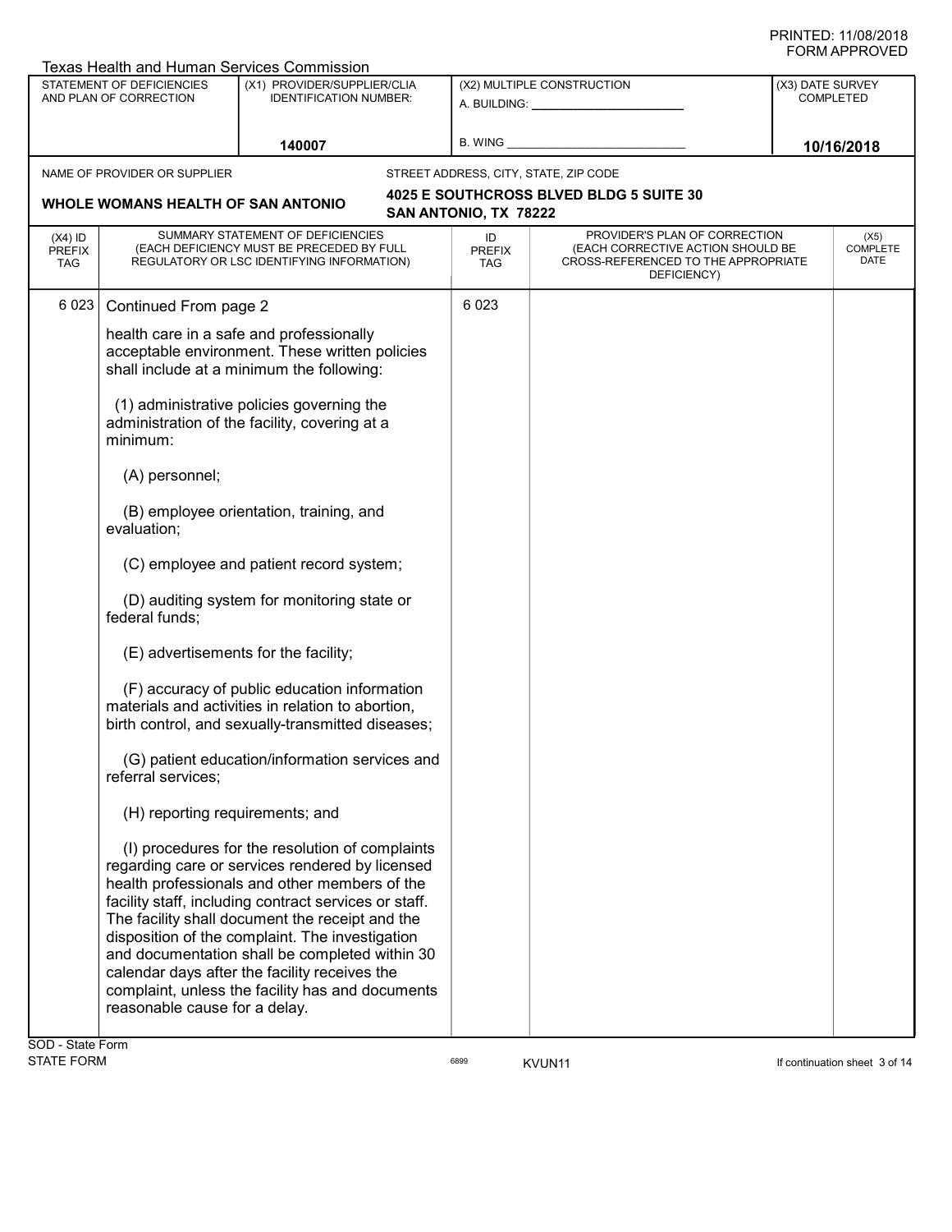|                                          | Texas Health and Human Services Commission                                                             |                                                                                                                                                                                                                                                                                                                                                                                                                                                                           |                                   |                                                                                                                          |                          |                  |  |
|------------------------------------------|--------------------------------------------------------------------------------------------------------|---------------------------------------------------------------------------------------------------------------------------------------------------------------------------------------------------------------------------------------------------------------------------------------------------------------------------------------------------------------------------------------------------------------------------------------------------------------------------|-----------------------------------|--------------------------------------------------------------------------------------------------------------------------|--------------------------|------------------|--|
|                                          | STATEMENT OF DEFICIENCIES<br>AND PLAN OF CORRECTION                                                    | (X1) PROVIDER/SUPPLIER/CLIA<br><b>IDENTIFICATION NUMBER:</b>                                                                                                                                                                                                                                                                                                                                                                                                              |                                   | (X2) MULTIPLE CONSTRUCTION<br>A. BUILDING: _______________                                                               | (X3) DATE SURVEY         | <b>COMPLETED</b> |  |
|                                          |                                                                                                        | 140007                                                                                                                                                                                                                                                                                                                                                                                                                                                                    | <b>B. WING</b>                    |                                                                                                                          |                          | 10/16/2018       |  |
|                                          | NAME OF PROVIDER OR SUPPLIER                                                                           |                                                                                                                                                                                                                                                                                                                                                                                                                                                                           |                                   | STREET ADDRESS, CITY, STATE, ZIP CODE                                                                                    |                          |                  |  |
|                                          | WHOLE WOMANS HEALTH OF SAN ANTONIO                                                                     |                                                                                                                                                                                                                                                                                                                                                                                                                                                                           | SAN ANTONIO, TX 78222             | 4025 E SOUTHCROSS BLVED BLDG 5 SUITE 30                                                                                  |                          |                  |  |
| $(X4)$ ID<br><b>PREFIX</b><br><b>TAG</b> |                                                                                                        | SUMMARY STATEMENT OF DEFICIENCIES<br>(EACH DEFICIENCY MUST BE PRECEDED BY FULL<br>REGULATORY OR LSC IDENTIFYING INFORMATION)                                                                                                                                                                                                                                                                                                                                              | ID<br><b>PREFIX</b><br><b>TAG</b> | PROVIDER'S PLAN OF CORRECTION<br>(EACH CORRECTIVE ACTION SHOULD BE<br>CROSS-REFERENCED TO THE APPROPRIATE<br>DEFICIENCY) | (X5)<br>COMPLETE<br>DATE |                  |  |
| 6 0 23                                   | Continued From page 2                                                                                  |                                                                                                                                                                                                                                                                                                                                                                                                                                                                           | 6 0 23                            |                                                                                                                          |                          |                  |  |
|                                          |                                                                                                        | health care in a safe and professionally<br>acceptable environment. These written policies<br>shall include at a minimum the following:                                                                                                                                                                                                                                                                                                                                   |                                   |                                                                                                                          |                          |                  |  |
|                                          | (1) administrative policies governing the<br>administration of the facility, covering at a<br>minimum: |                                                                                                                                                                                                                                                                                                                                                                                                                                                                           |                                   |                                                                                                                          |                          |                  |  |
|                                          | (A) personnel;                                                                                         |                                                                                                                                                                                                                                                                                                                                                                                                                                                                           |                                   |                                                                                                                          |                          |                  |  |
|                                          | evaluation;                                                                                            | (B) employee orientation, training, and                                                                                                                                                                                                                                                                                                                                                                                                                                   |                                   |                                                                                                                          |                          |                  |  |
|                                          |                                                                                                        | (C) employee and patient record system;                                                                                                                                                                                                                                                                                                                                                                                                                                   |                                   |                                                                                                                          |                          |                  |  |
|                                          | federal funds;                                                                                         | (D) auditing system for monitoring state or                                                                                                                                                                                                                                                                                                                                                                                                                               |                                   |                                                                                                                          |                          |                  |  |
|                                          |                                                                                                        | (E) advertisements for the facility;                                                                                                                                                                                                                                                                                                                                                                                                                                      |                                   |                                                                                                                          |                          |                  |  |
|                                          |                                                                                                        | (F) accuracy of public education information<br>materials and activities in relation to abortion,<br>birth control, and sexually-transmitted diseases;                                                                                                                                                                                                                                                                                                                    |                                   |                                                                                                                          |                          |                  |  |
|                                          | referral services;                                                                                     | (G) patient education/information services and                                                                                                                                                                                                                                                                                                                                                                                                                            |                                   |                                                                                                                          |                          |                  |  |
|                                          | (H) reporting requirements; and                                                                        |                                                                                                                                                                                                                                                                                                                                                                                                                                                                           |                                   |                                                                                                                          |                          |                  |  |
|                                          | reasonable cause for a delay.                                                                          | (I) procedures for the resolution of complaints<br>regarding care or services rendered by licensed<br>health professionals and other members of the<br>facility staff, including contract services or staff.<br>The facility shall document the receipt and the<br>disposition of the complaint. The investigation<br>and documentation shall be completed within 30<br>calendar days after the facility receives the<br>complaint, unless the facility has and documents |                                   |                                                                                                                          |                          |                  |  |

SOD - State Form<br>STATE FORM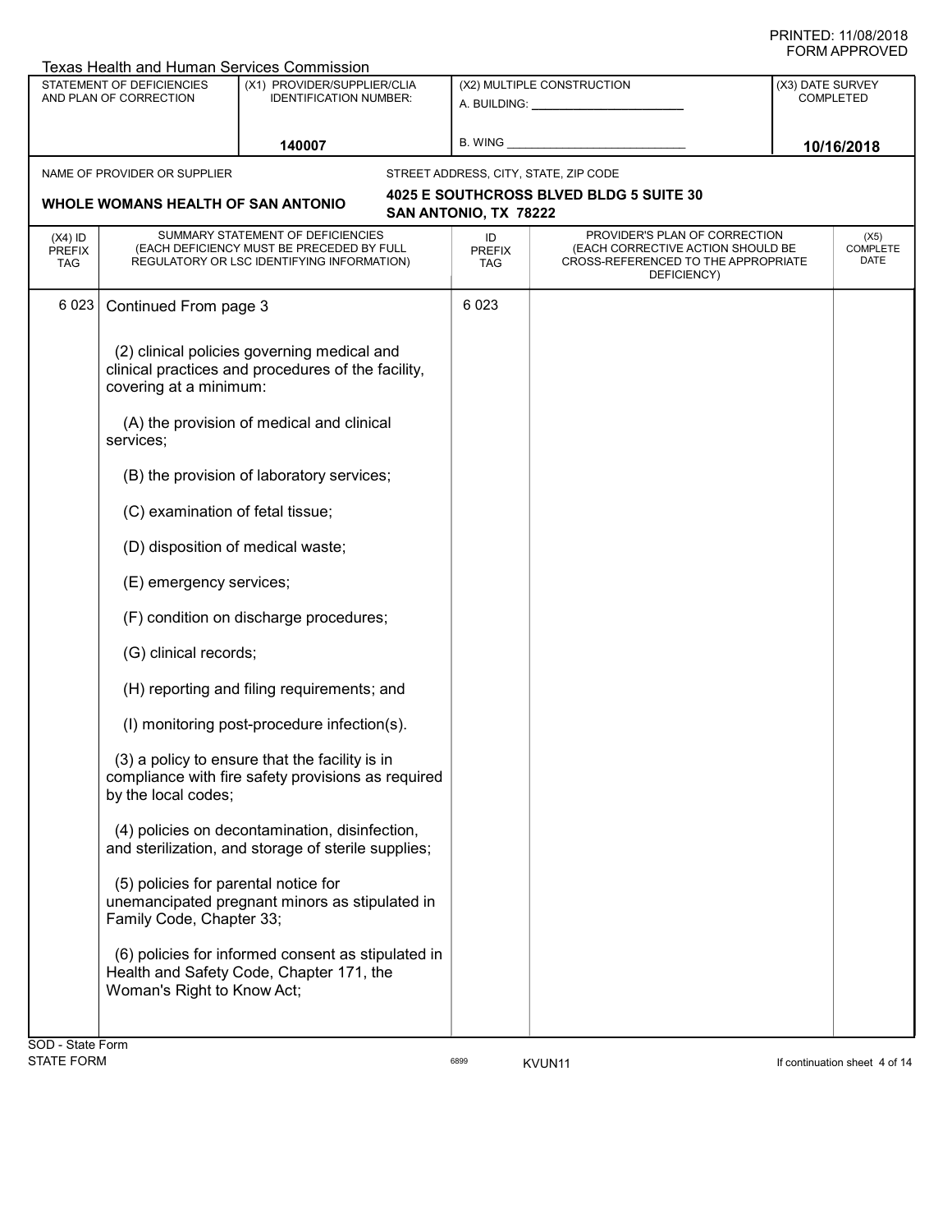|                                   | <b>Texas Health and Human Services Commission</b>                                                                            |                                                                                                                              |                            |                                                                                                                          |                  |                                        |
|-----------------------------------|------------------------------------------------------------------------------------------------------------------------------|------------------------------------------------------------------------------------------------------------------------------|----------------------------|--------------------------------------------------------------------------------------------------------------------------|------------------|----------------------------------------|
|                                   | STATEMENT OF DEFICIENCIES<br>AND PLAN OF CORRECTION                                                                          | (X1) PROVIDER/SUPPLIER/CLIA<br>IDENTIFICATION NUMBER:                                                                        |                            | (X2) MULTIPLE CONSTRUCTION<br>A. BUILDING: A. BUILDING:                                                                  | (X3) DATE SURVEY | <b>COMPLETED</b>                       |
|                                   |                                                                                                                              | 140007                                                                                                                       | B. WING                    |                                                                                                                          |                  | 10/16/2018                             |
|                                   | NAME OF PROVIDER OR SUPPLIER                                                                                                 |                                                                                                                              |                            | STREET ADDRESS, CITY, STATE, ZIP CODE                                                                                    |                  |                                        |
|                                   | WHOLE WOMANS HEALTH OF SAN ANTONIO                                                                                           |                                                                                                                              | SAN ANTONIO, TX 78222      | 4025 E SOUTHCROSS BLVED BLDG 5 SUITE 30                                                                                  |                  |                                        |
| $(X4)$ ID<br><b>PREFIX</b><br>TAG |                                                                                                                              | SUMMARY STATEMENT OF DEFICIENCIES<br>(EACH DEFICIENCY MUST BE PRECEDED BY FULL<br>REGULATORY OR LSC IDENTIFYING INFORMATION) | ID<br><b>PREFIX</b><br>TAG | PROVIDER'S PLAN OF CORRECTION<br>(EACH CORRECTIVE ACTION SHOULD BE<br>CROSS-REFERENCED TO THE APPROPRIATE<br>DEFICIENCY) |                  | (X5)<br><b>COMPLETE</b><br><b>DATE</b> |
| 6 0 2 3                           | Continued From page 3                                                                                                        |                                                                                                                              | 6 0 23                     |                                                                                                                          |                  |                                        |
|                                   | (2) clinical policies governing medical and<br>clinical practices and procedures of the facility,<br>covering at a minimum:  |                                                                                                                              |                            |                                                                                                                          |                  |                                        |
|                                   | services;                                                                                                                    | (A) the provision of medical and clinical                                                                                    |                            |                                                                                                                          |                  |                                        |
|                                   |                                                                                                                              | (B) the provision of laboratory services;                                                                                    |                            |                                                                                                                          |                  |                                        |
|                                   | (C) examination of fetal tissue;                                                                                             |                                                                                                                              |                            |                                                                                                                          |                  |                                        |
|                                   | (D) disposition of medical waste;                                                                                            |                                                                                                                              |                            |                                                                                                                          |                  |                                        |
|                                   | (E) emergency services;                                                                                                      |                                                                                                                              |                            |                                                                                                                          |                  |                                        |
|                                   |                                                                                                                              | (F) condition on discharge procedures;                                                                                       |                            |                                                                                                                          |                  |                                        |
|                                   | (G) clinical records;                                                                                                        |                                                                                                                              |                            |                                                                                                                          |                  |                                        |
|                                   |                                                                                                                              | (H) reporting and filing requirements; and                                                                                   |                            |                                                                                                                          |                  |                                        |
|                                   |                                                                                                                              | (I) monitoring post-procedure infection(s).                                                                                  |                            |                                                                                                                          |                  |                                        |
|                                   | (3) a policy to ensure that the facility is in<br>compliance with fire safety provisions as required<br>by the local codes;  |                                                                                                                              |                            |                                                                                                                          |                  |                                        |
|                                   | (4) policies on decontamination, disinfection,<br>and sterilization, and storage of sterile supplies;                        |                                                                                                                              |                            |                                                                                                                          |                  |                                        |
|                                   | (5) policies for parental notice for<br>unemancipated pregnant minors as stipulated in<br>Family Code, Chapter 33;           |                                                                                                                              |                            |                                                                                                                          |                  |                                        |
|                                   | (6) policies for informed consent as stipulated in<br>Health and Safety Code, Chapter 171, the<br>Woman's Right to Know Act; |                                                                                                                              |                            |                                                                                                                          |                  |                                        |
|                                   |                                                                                                                              |                                                                                                                              |                            |                                                                                                                          |                  |                                        |
| SOD - State Form                  |                                                                                                                              |                                                                                                                              |                            |                                                                                                                          |                  |                                        |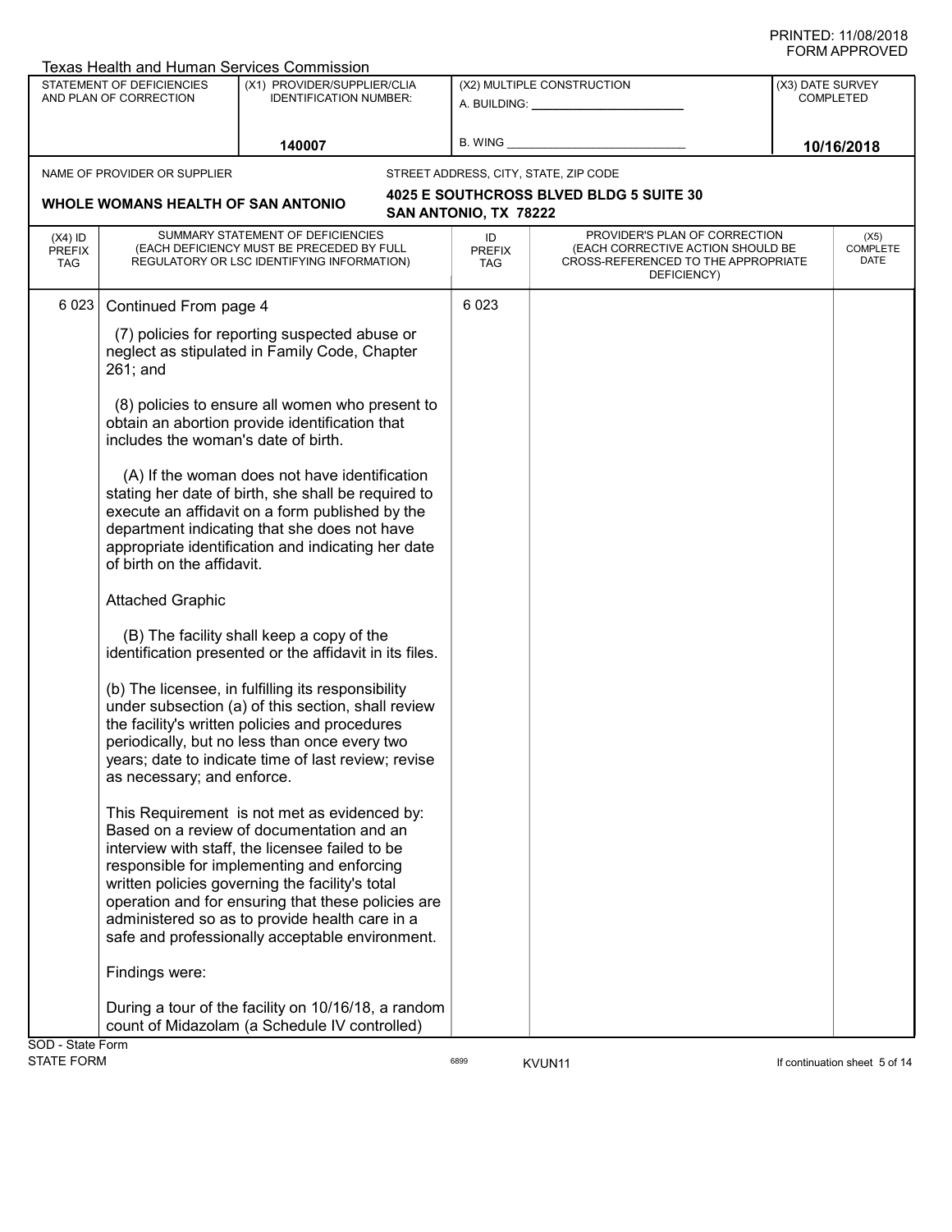|                                   | Texas Health and Human Services Commission                                                                                                                                                                                                                                                                                                                                                               |                                                                                                                              |  |                            |                                                                                                                          |                               |  |
|-----------------------------------|----------------------------------------------------------------------------------------------------------------------------------------------------------------------------------------------------------------------------------------------------------------------------------------------------------------------------------------------------------------------------------------------------------|------------------------------------------------------------------------------------------------------------------------------|--|----------------------------|--------------------------------------------------------------------------------------------------------------------------|-------------------------------|--|
|                                   | STATEMENT OF DEFICIENCIES<br>AND PLAN OF CORRECTION                                                                                                                                                                                                                                                                                                                                                      | (X1) PROVIDER/SUPPLIER/CLIA<br><b>IDENTIFICATION NUMBER:</b>                                                                 |  |                            | (X2) MULTIPLE CONSTRUCTION<br>A. BUILDING: ________________                                                              | (X3) DATE SURVEY<br>COMPLETED |  |
|                                   |                                                                                                                                                                                                                                                                                                                                                                                                          | 140007                                                                                                                       |  | B. WING                    |                                                                                                                          | 10/16/2018                    |  |
|                                   | NAME OF PROVIDER OR SUPPLIER                                                                                                                                                                                                                                                                                                                                                                             |                                                                                                                              |  |                            | STREET ADDRESS, CITY, STATE, ZIP CODE                                                                                    |                               |  |
|                                   | WHOLE WOMANS HEALTH OF SAN ANTONIO                                                                                                                                                                                                                                                                                                                                                                       |                                                                                                                              |  | SAN ANTONIO, TX 78222      | 4025 E SOUTHCROSS BLVED BLDG 5 SUITE 30                                                                                  |                               |  |
| $(X4)$ ID<br><b>PREFIX</b><br>TAG |                                                                                                                                                                                                                                                                                                                                                                                                          | SUMMARY STATEMENT OF DEFICIENCIES<br>(EACH DEFICIENCY MUST BE PRECEDED BY FULL<br>REGULATORY OR LSC IDENTIFYING INFORMATION) |  | ID<br><b>PREFIX</b><br>TAG | PROVIDER'S PLAN OF CORRECTION<br>(EACH CORRECTIVE ACTION SHOULD BE<br>CROSS-REFERENCED TO THE APPROPRIATE<br>DEFICIENCY) | (X5)<br>COMPLETE<br>DATE      |  |
| 6 0 23                            | Continued From page 4                                                                                                                                                                                                                                                                                                                                                                                    |                                                                                                                              |  | 6 0 23                     |                                                                                                                          |                               |  |
|                                   | (7) policies for reporting suspected abuse or<br>neglect as stipulated in Family Code, Chapter<br>$261;$ and                                                                                                                                                                                                                                                                                             |                                                                                                                              |  |                            |                                                                                                                          |                               |  |
|                                   | (8) policies to ensure all women who present to<br>obtain an abortion provide identification that<br>includes the woman's date of birth.                                                                                                                                                                                                                                                                 |                                                                                                                              |  |                            |                                                                                                                          |                               |  |
|                                   | (A) If the woman does not have identification<br>stating her date of birth, she shall be required to<br>execute an affidavit on a form published by the<br>department indicating that she does not have<br>appropriate identification and indicating her date<br>of birth on the affidavit.                                                                                                              |                                                                                                                              |  |                            |                                                                                                                          |                               |  |
|                                   | <b>Attached Graphic</b>                                                                                                                                                                                                                                                                                                                                                                                  |                                                                                                                              |  |                            |                                                                                                                          |                               |  |
|                                   | identification presented or the affidavit in its files.                                                                                                                                                                                                                                                                                                                                                  | (B) The facility shall keep a copy of the                                                                                    |  |                            |                                                                                                                          |                               |  |
|                                   | (b) The licensee, in fulfilling its responsibility<br>under subsection (a) of this section, shall review<br>the facility's written policies and procedures<br>periodically, but no less than once every two<br>years; date to indicate time of last review; revise<br>as necessary; and enforce.                                                                                                         |                                                                                                                              |  |                            |                                                                                                                          |                               |  |
|                                   | This Requirement is not met as evidenced by:<br>Based on a review of documentation and an<br>interview with staff, the licensee failed to be<br>responsible for implementing and enforcing<br>written policies governing the facility's total<br>operation and for ensuring that these policies are<br>administered so as to provide health care in a<br>safe and professionally acceptable environment. |                                                                                                                              |  |                            |                                                                                                                          |                               |  |
|                                   | Findings were:                                                                                                                                                                                                                                                                                                                                                                                           |                                                                                                                              |  |                            |                                                                                                                          |                               |  |
|                                   | During a tour of the facility on 10/16/18, a random<br>count of Midazolam (a Schedule IV controlled)                                                                                                                                                                                                                                                                                                     |                                                                                                                              |  |                            |                                                                                                                          |                               |  |
| SOD - State Form                  |                                                                                                                                                                                                                                                                                                                                                                                                          |                                                                                                                              |  |                            |                                                                                                                          |                               |  |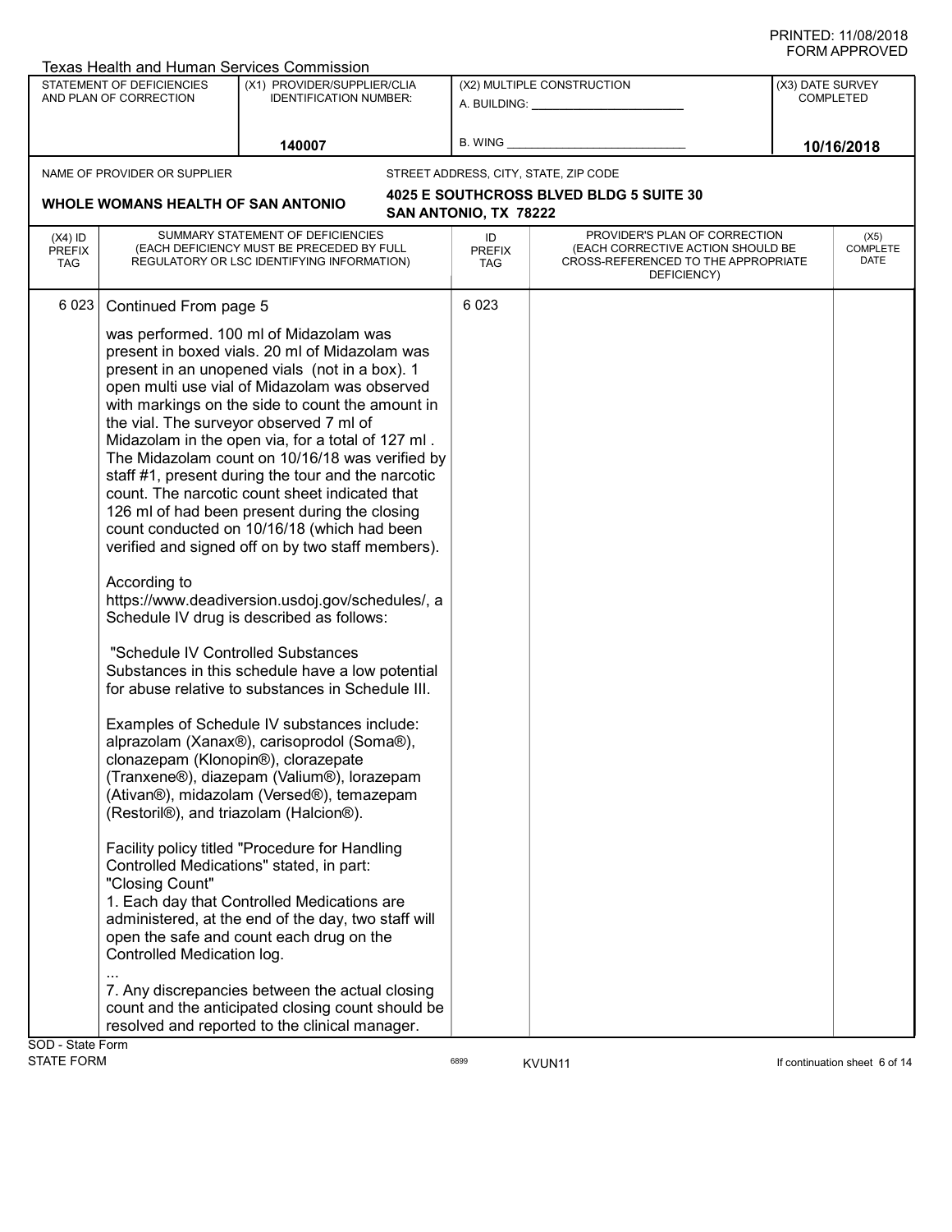|                                   | <b>Texas Health and Human Services Commission</b>                                                                                                                                                                                                                                                                                                                                                                                                                                                                                                                                                                                                                                                                                                                                                                                                                                                                                                                                                                                                                                                                                                                                                                                                                                                                                                                                                                                                                                                                                                                                                                                                                                            |                                                                                                                              |                            |                                                                                                                          |  |                                      |  |
|-----------------------------------|----------------------------------------------------------------------------------------------------------------------------------------------------------------------------------------------------------------------------------------------------------------------------------------------------------------------------------------------------------------------------------------------------------------------------------------------------------------------------------------------------------------------------------------------------------------------------------------------------------------------------------------------------------------------------------------------------------------------------------------------------------------------------------------------------------------------------------------------------------------------------------------------------------------------------------------------------------------------------------------------------------------------------------------------------------------------------------------------------------------------------------------------------------------------------------------------------------------------------------------------------------------------------------------------------------------------------------------------------------------------------------------------------------------------------------------------------------------------------------------------------------------------------------------------------------------------------------------------------------------------------------------------------------------------------------------------|------------------------------------------------------------------------------------------------------------------------------|----------------------------|--------------------------------------------------------------------------------------------------------------------------|--|--------------------------------------|--|
|                                   | <b>STATEMENT OF DEFICIENCIES</b><br>AND PLAN OF CORRECTION                                                                                                                                                                                                                                                                                                                                                                                                                                                                                                                                                                                                                                                                                                                                                                                                                                                                                                                                                                                                                                                                                                                                                                                                                                                                                                                                                                                                                                                                                                                                                                                                                                   | (X1) PROVIDER/SUPPLIER/CLIA<br><b>IDENTIFICATION NUMBER:</b>                                                                 |                            | (X2) MULTIPLE CONSTRUCTION<br>A. BUILDING: ________________                                                              |  | (X3) DATE SURVEY<br><b>COMPLETED</b> |  |
|                                   |                                                                                                                                                                                                                                                                                                                                                                                                                                                                                                                                                                                                                                                                                                                                                                                                                                                                                                                                                                                                                                                                                                                                                                                                                                                                                                                                                                                                                                                                                                                                                                                                                                                                                              | 140007                                                                                                                       | B. WING                    |                                                                                                                          |  | 10/16/2018                           |  |
|                                   | NAME OF PROVIDER OR SUPPLIER                                                                                                                                                                                                                                                                                                                                                                                                                                                                                                                                                                                                                                                                                                                                                                                                                                                                                                                                                                                                                                                                                                                                                                                                                                                                                                                                                                                                                                                                                                                                                                                                                                                                 |                                                                                                                              |                            | STREET ADDRESS, CITY, STATE, ZIP CODE                                                                                    |  |                                      |  |
|                                   | WHOLE WOMANS HEALTH OF SAN ANTONIO                                                                                                                                                                                                                                                                                                                                                                                                                                                                                                                                                                                                                                                                                                                                                                                                                                                                                                                                                                                                                                                                                                                                                                                                                                                                                                                                                                                                                                                                                                                                                                                                                                                           |                                                                                                                              | SAN ANTONIO, TX 78222      | 4025 E SOUTHCROSS BLVED BLDG 5 SUITE 30                                                                                  |  |                                      |  |
| $(X4)$ ID<br><b>PREFIX</b><br>TAG |                                                                                                                                                                                                                                                                                                                                                                                                                                                                                                                                                                                                                                                                                                                                                                                                                                                                                                                                                                                                                                                                                                                                                                                                                                                                                                                                                                                                                                                                                                                                                                                                                                                                                              | SUMMARY STATEMENT OF DEFICIENCIES<br>(EACH DEFICIENCY MUST BE PRECEDED BY FULL<br>REGULATORY OR LSC IDENTIFYING INFORMATION) | ID<br><b>PREFIX</b><br>TAG | PROVIDER'S PLAN OF CORRECTION<br>(EACH CORRECTIVE ACTION SHOULD BE<br>CROSS-REFERENCED TO THE APPROPRIATE<br>DEFICIENCY) |  | (X5)<br>COMPLETE<br>DATE             |  |
| 6023                              | Continued From page 5<br>was performed. 100 ml of Midazolam was<br>present in boxed vials. 20 ml of Midazolam was<br>present in an unopened vials (not in a box). 1<br>open multi use vial of Midazolam was observed<br>with markings on the side to count the amount in<br>the vial. The surveyor observed 7 ml of<br>Midazolam in the open via, for a total of 127 ml.<br>The Midazolam count on 10/16/18 was verified by<br>staff #1, present during the tour and the narcotic<br>count. The narcotic count sheet indicated that<br>126 ml of had been present during the closing<br>count conducted on 10/16/18 (which had been<br>verified and signed off on by two staff members).<br>According to<br>https://www.deadiversion.usdoj.gov/schedules/, a<br>Schedule IV drug is described as follows:<br>"Schedule IV Controlled Substances<br>Substances in this schedule have a low potential<br>for abuse relative to substances in Schedule III.<br>Examples of Schedule IV substances include:<br>alprazolam (Xanax®), carisoprodol (Soma®),<br>clonazepam (Klonopin®), clorazepate<br>(Tranxene®), diazepam (Valium®), lorazepam<br>(Ativan®), midazolam (Versed®), temazepam<br>(Restoril®), and triazolam (Halcion®).<br>Facility policy titled "Procedure for Handling<br>Controlled Medications" stated, in part:<br>"Closing Count"<br>1. Each day that Controlled Medications are<br>administered, at the end of the day, two staff will<br>open the safe and count each drug on the<br>Controlled Medication log.<br>7. Any discrepancies between the actual closing<br>count and the anticipated closing count should be<br>resolved and reported to the clinical manager. |                                                                                                                              | 6 0 23                     |                                                                                                                          |  |                                      |  |
| SOD - State Form                  |                                                                                                                                                                                                                                                                                                                                                                                                                                                                                                                                                                                                                                                                                                                                                                                                                                                                                                                                                                                                                                                                                                                                                                                                                                                                                                                                                                                                                                                                                                                                                                                                                                                                                              |                                                                                                                              |                            |                                                                                                                          |  |                                      |  |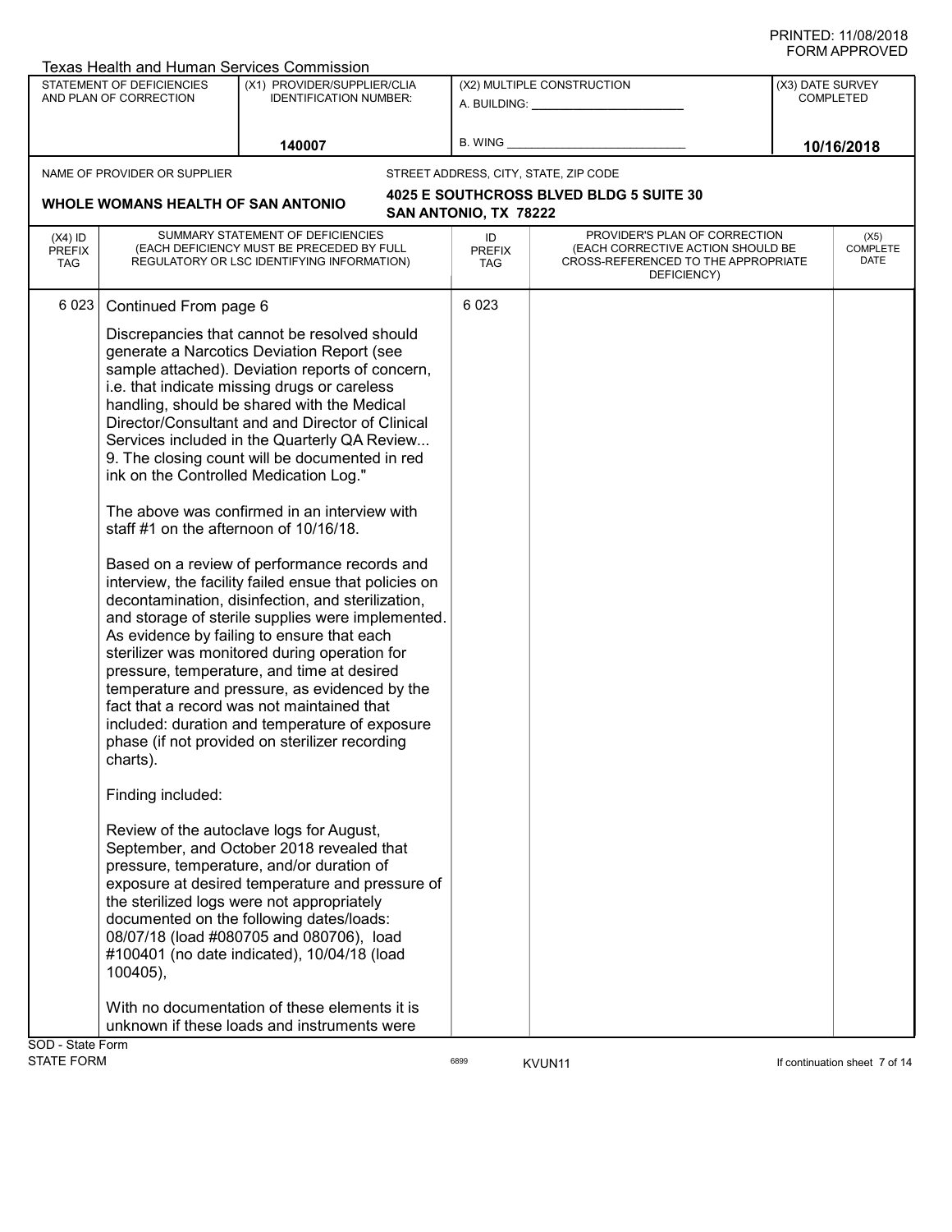|                                          |                                                                                                                 | <b>Texas Health and Human Services Commission</b>                                                                                                                                                                                                                                                                                                                                                                                                                                                                                                                                                                                                                                                                                                                                                                                                                                                                                                                                                                                                                                                                                                                                                                                                                                                                                                                                                                                             |                                   |                                                                                                                          | 1111 ALLIVO 1 LU                     |  |
|------------------------------------------|-----------------------------------------------------------------------------------------------------------------|-----------------------------------------------------------------------------------------------------------------------------------------------------------------------------------------------------------------------------------------------------------------------------------------------------------------------------------------------------------------------------------------------------------------------------------------------------------------------------------------------------------------------------------------------------------------------------------------------------------------------------------------------------------------------------------------------------------------------------------------------------------------------------------------------------------------------------------------------------------------------------------------------------------------------------------------------------------------------------------------------------------------------------------------------------------------------------------------------------------------------------------------------------------------------------------------------------------------------------------------------------------------------------------------------------------------------------------------------------------------------------------------------------------------------------------------------|-----------------------------------|--------------------------------------------------------------------------------------------------------------------------|--------------------------------------|--|
|                                          | STATEMENT OF DEFICIENCIES<br>AND PLAN OF CORRECTION                                                             | (X1) PROVIDER/SUPPLIER/CLIA<br><b>IDENTIFICATION NUMBER:</b>                                                                                                                                                                                                                                                                                                                                                                                                                                                                                                                                                                                                                                                                                                                                                                                                                                                                                                                                                                                                                                                                                                                                                                                                                                                                                                                                                                                  |                                   | (X2) MULTIPLE CONSTRUCTION<br>A. BUILDING: A. BUILDING:                                                                  | (X3) DATE SURVEY<br><b>COMPLETED</b> |  |
|                                          |                                                                                                                 | 140007                                                                                                                                                                                                                                                                                                                                                                                                                                                                                                                                                                                                                                                                                                                                                                                                                                                                                                                                                                                                                                                                                                                                                                                                                                                                                                                                                                                                                                        | B. WING                           |                                                                                                                          | 10/16/2018                           |  |
|                                          | NAME OF PROVIDER OR SUPPLIER                                                                                    |                                                                                                                                                                                                                                                                                                                                                                                                                                                                                                                                                                                                                                                                                                                                                                                                                                                                                                                                                                                                                                                                                                                                                                                                                                                                                                                                                                                                                                               |                                   | STREET ADDRESS, CITY, STATE, ZIP CODE                                                                                    |                                      |  |
|                                          | WHOLE WOMANS HEALTH OF SAN ANTONIO                                                                              |                                                                                                                                                                                                                                                                                                                                                                                                                                                                                                                                                                                                                                                                                                                                                                                                                                                                                                                                                                                                                                                                                                                                                                                                                                                                                                                                                                                                                                               | SAN ANTONIO, TX 78222             | 4025 E SOUTHCROSS BLVED BLDG 5 SUITE 30                                                                                  |                                      |  |
| $(X4)$ ID<br><b>PREFIX</b><br><b>TAG</b> |                                                                                                                 | SUMMARY STATEMENT OF DEFICIENCIES<br>(EACH DEFICIENCY MUST BE PRECEDED BY FULL<br>REGULATORY OR LSC IDENTIFYING INFORMATION)                                                                                                                                                                                                                                                                                                                                                                                                                                                                                                                                                                                                                                                                                                                                                                                                                                                                                                                                                                                                                                                                                                                                                                                                                                                                                                                  | ID<br><b>PREFIX</b><br><b>TAG</b> | PROVIDER'S PLAN OF CORRECTION<br>(EACH CORRECTIVE ACTION SHOULD BE<br>CROSS-REFERENCED TO THE APPROPRIATE<br>DEFICIENCY) | (X5)<br><b>COMPLETE</b><br>DATE      |  |
| 6023                                     | Continued From page 6<br>staff #1 on the afternoon of 10/16/18.<br>charts).<br>Finding included:<br>$100405$ ), | Discrepancies that cannot be resolved should<br>generate a Narcotics Deviation Report (see<br>sample attached). Deviation reports of concern,<br>i.e. that indicate missing drugs or careless<br>handling, should be shared with the Medical<br>Director/Consultant and and Director of Clinical<br>Services included in the Quarterly QA Review<br>9. The closing count will be documented in red<br>ink on the Controlled Medication Log."<br>The above was confirmed in an interview with<br>Based on a review of performance records and<br>interview, the facility failed ensue that policies on<br>decontamination, disinfection, and sterilization,<br>and storage of sterile supplies were implemented.<br>As evidence by failing to ensure that each<br>sterilizer was monitored during operation for<br>pressure, temperature, and time at desired<br>temperature and pressure, as evidenced by the<br>fact that a record was not maintained that<br>included: duration and temperature of exposure<br>phase (if not provided on sterilizer recording<br>Review of the autoclave logs for August,<br>September, and October 2018 revealed that<br>pressure, temperature, and/or duration of<br>exposure at desired temperature and pressure of<br>the sterilized logs were not appropriately<br>documented on the following dates/loads:<br>08/07/18 (load #080705 and 080706), load<br>#100401 (no date indicated), 10/04/18 (load | 6 0 23                            |                                                                                                                          |                                      |  |
| SOD - State Form                         |                                                                                                                 | With no documentation of these elements it is<br>unknown if these loads and instruments were                                                                                                                                                                                                                                                                                                                                                                                                                                                                                                                                                                                                                                                                                                                                                                                                                                                                                                                                                                                                                                                                                                                                                                                                                                                                                                                                                  |                                   |                                                                                                                          |                                      |  |
| <b>STATE FORM</b>                        |                                                                                                                 |                                                                                                                                                                                                                                                                                                                                                                                                                                                                                                                                                                                                                                                                                                                                                                                                                                                                                                                                                                                                                                                                                                                                                                                                                                                                                                                                                                                                                                               | 6899                              | KVUN <sub>11</sub>                                                                                                       | If continuation sheet 7 of 14        |  |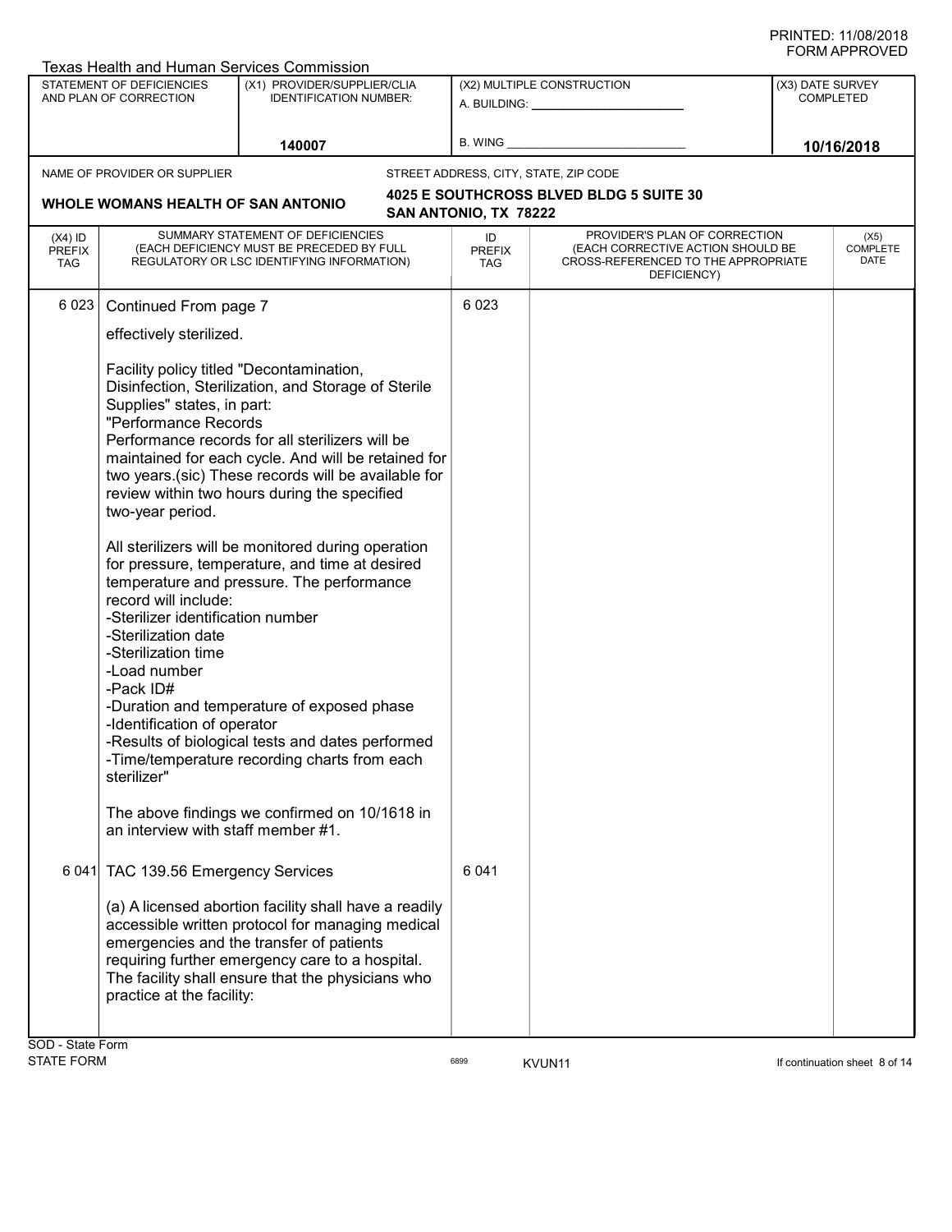|                                          | Texas Health and Human Services Commission                                                                                                                                                                                                                                                                                                                                                                                                                                                                                                                                                                                                                                                                                                                                                                                                                                                                                                                                                                                                                                                                                                                                                                                                                                                                                                 |                                                                                                                              |                            |                                                                                                                          |                                      |                                 |  |
|------------------------------------------|--------------------------------------------------------------------------------------------------------------------------------------------------------------------------------------------------------------------------------------------------------------------------------------------------------------------------------------------------------------------------------------------------------------------------------------------------------------------------------------------------------------------------------------------------------------------------------------------------------------------------------------------------------------------------------------------------------------------------------------------------------------------------------------------------------------------------------------------------------------------------------------------------------------------------------------------------------------------------------------------------------------------------------------------------------------------------------------------------------------------------------------------------------------------------------------------------------------------------------------------------------------------------------------------------------------------------------------------|------------------------------------------------------------------------------------------------------------------------------|----------------------------|--------------------------------------------------------------------------------------------------------------------------|--------------------------------------|---------------------------------|--|
|                                          | <b>STATEMENT OF DEFICIENCIES</b><br>AND PLAN OF CORRECTION                                                                                                                                                                                                                                                                                                                                                                                                                                                                                                                                                                                                                                                                                                                                                                                                                                                                                                                                                                                                                                                                                                                                                                                                                                                                                 | (X1) PROVIDER/SUPPLIER/CLIA<br><b>IDENTIFICATION NUMBER:</b>                                                                 | (X2) MULTIPLE CONSTRUCTION |                                                                                                                          | (X3) DATE SURVEY<br><b>COMPLETED</b> |                                 |  |
|                                          |                                                                                                                                                                                                                                                                                                                                                                                                                                                                                                                                                                                                                                                                                                                                                                                                                                                                                                                                                                                                                                                                                                                                                                                                                                                                                                                                            | 140007                                                                                                                       | <b>B. WING</b>             |                                                                                                                          |                                      | 10/16/2018                      |  |
|                                          | NAME OF PROVIDER OR SUPPLIER                                                                                                                                                                                                                                                                                                                                                                                                                                                                                                                                                                                                                                                                                                                                                                                                                                                                                                                                                                                                                                                                                                                                                                                                                                                                                                               |                                                                                                                              |                            | STREET ADDRESS, CITY, STATE, ZIP CODE                                                                                    |                                      |                                 |  |
|                                          | WHOLE WOMANS HEALTH OF SAN ANTONIO                                                                                                                                                                                                                                                                                                                                                                                                                                                                                                                                                                                                                                                                                                                                                                                                                                                                                                                                                                                                                                                                                                                                                                                                                                                                                                         |                                                                                                                              | SAN ANTONIO, TX 78222      | 4025 E SOUTHCROSS BLVED BLDG 5 SUITE 30                                                                                  |                                      |                                 |  |
| $(X4)$ ID<br><b>PREFIX</b><br><b>TAG</b> |                                                                                                                                                                                                                                                                                                                                                                                                                                                                                                                                                                                                                                                                                                                                                                                                                                                                                                                                                                                                                                                                                                                                                                                                                                                                                                                                            | SUMMARY STATEMENT OF DEFICIENCIES<br>(EACH DEFICIENCY MUST BE PRECEDED BY FULL<br>REGULATORY OR LSC IDENTIFYING INFORMATION) | ID<br><b>PREFIX</b><br>TAG | PROVIDER'S PLAN OF CORRECTION<br>(EACH CORRECTIVE ACTION SHOULD BE<br>CROSS-REFERENCED TO THE APPROPRIATE<br>DEFICIENCY) |                                      | (X5)<br><b>COMPLETE</b><br>DATE |  |
| 6023                                     | Continued From page 7<br>effectively sterilized.<br>Facility policy titled "Decontamination,<br>Disinfection, Sterilization, and Storage of Sterile<br>Supplies" states, in part:<br>"Performance Records<br>Performance records for all sterilizers will be<br>maintained for each cycle. And will be retained for<br>two years.(sic) These records will be available for<br>review within two hours during the specified<br>two-year period.<br>All sterilizers will be monitored during operation<br>for pressure, temperature, and time at desired<br>temperature and pressure. The performance<br>record will include:<br>-Sterilizer identification number<br>-Sterilization date<br>-Sterilization time<br>-Load number<br>-Pack ID#<br>-Duration and temperature of exposed phase<br>-Identification of operator<br>-Results of biological tests and dates performed<br>-Time/temperature recording charts from each<br>sterilizer"<br>The above findings we confirmed on 10/1618 in<br>an interview with staff member #1.<br>6 041 TAC 139.56 Emergency Services<br>(a) A licensed abortion facility shall have a readily<br>accessible written protocol for managing medical<br>emergencies and the transfer of patients<br>requiring further emergency care to a hospital.<br>The facility shall ensure that the physicians who |                                                                                                                              | 6 0 23<br>6 0 4 1          |                                                                                                                          |                                      |                                 |  |
|                                          | practice at the facility:                                                                                                                                                                                                                                                                                                                                                                                                                                                                                                                                                                                                                                                                                                                                                                                                                                                                                                                                                                                                                                                                                                                                                                                                                                                                                                                  |                                                                                                                              |                            |                                                                                                                          |                                      |                                 |  |
| SOD - State Form                         |                                                                                                                                                                                                                                                                                                                                                                                                                                                                                                                                                                                                                                                                                                                                                                                                                                                                                                                                                                                                                                                                                                                                                                                                                                                                                                                                            |                                                                                                                              |                            |                                                                                                                          |                                      |                                 |  |

STATE FORM **EXAM** 6899 **KVUN11** 6899 **KVUN11 EXAMPLE 12 OF STATE FORM If continuation sheet 8 of 14**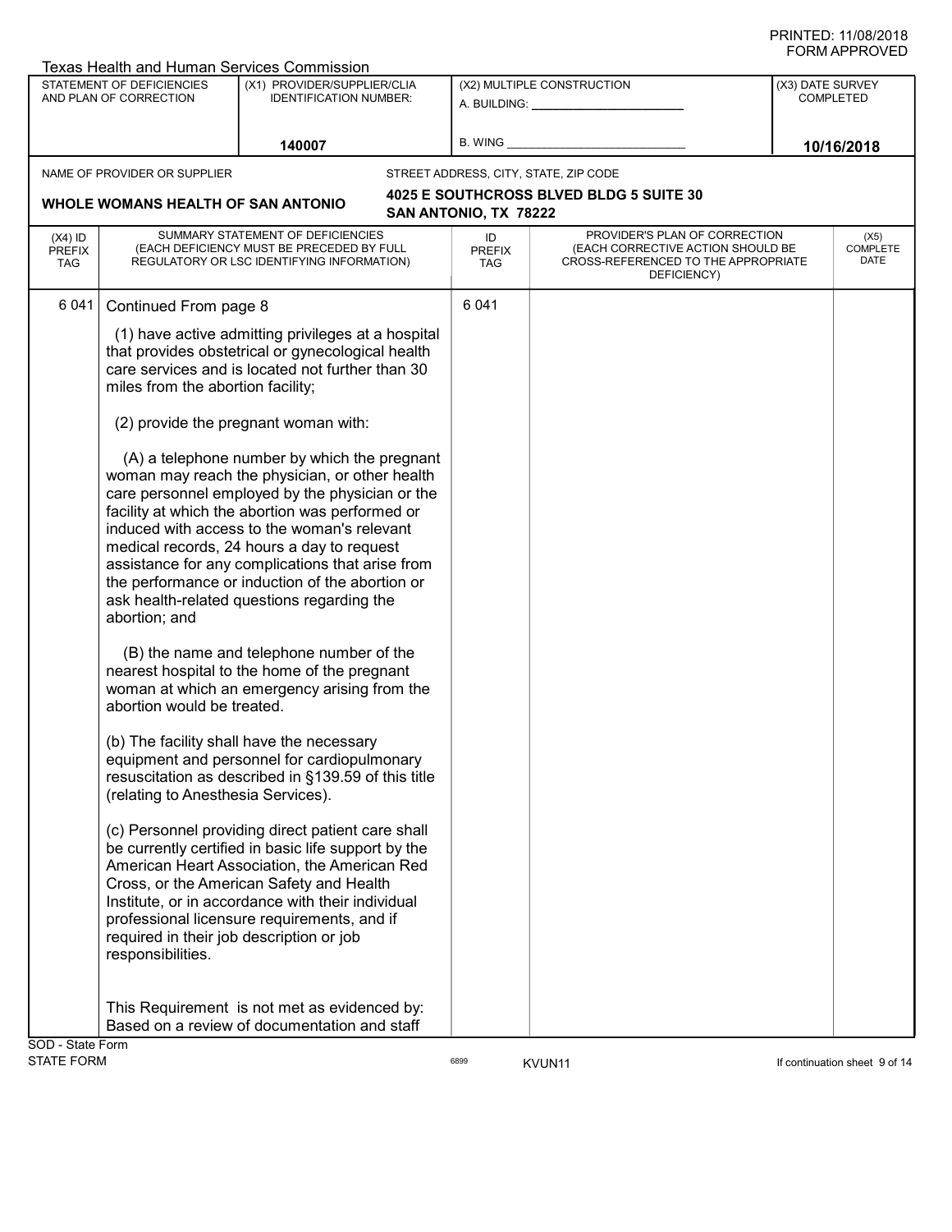| Texas Health and Human Services Commission          |                                                                                                                                                                                                                                                                                                                                                                                                                                                        |                                   |                                                                                                                          |                  |                               |
|-----------------------------------------------------|--------------------------------------------------------------------------------------------------------------------------------------------------------------------------------------------------------------------------------------------------------------------------------------------------------------------------------------------------------------------------------------------------------------------------------------------------------|-----------------------------------|--------------------------------------------------------------------------------------------------------------------------|------------------|-------------------------------|
| STATEMENT OF DEFICIENCIES<br>AND PLAN OF CORRECTION | (X1) PROVIDER/SUPPLIER/CLIA<br><b>IDENTIFICATION NUMBER:</b>                                                                                                                                                                                                                                                                                                                                                                                           |                                   | (X2) MULTIPLE CONSTRUCTION<br>A. BUILDING: A. BUILDING:                                                                  | (X3) DATE SURVEY | <b>COMPLETED</b>              |
|                                                     | 140007                                                                                                                                                                                                                                                                                                                                                                                                                                                 | <b>B. WING</b>                    |                                                                                                                          |                  | 10/16/2018                    |
| NAME OF PROVIDER OR SUPPLIER                        |                                                                                                                                                                                                                                                                                                                                                                                                                                                        |                                   | STREET ADDRESS, CITY, STATE, ZIP CODE                                                                                    |                  |                               |
| WHOLE WOMANS HEALTH OF SAN ANTONIO                  |                                                                                                                                                                                                                                                                                                                                                                                                                                                        | SAN ANTONIO, TX 78222             | 4025 E SOUTHCROSS BLVED BLDG 5 SUITE 30                                                                                  |                  |                               |
| $(X4)$ ID<br><b>PREFIX</b><br><b>TAG</b>            | SUMMARY STATEMENT OF DEFICIENCIES<br>(EACH DEFICIENCY MUST BE PRECEDED BY FULL<br>REGULATORY OR LSC IDENTIFYING INFORMATION)                                                                                                                                                                                                                                                                                                                           | ID<br><b>PREFIX</b><br><b>TAG</b> | PROVIDER'S PLAN OF CORRECTION<br>(EACH CORRECTIVE ACTION SHOULD BE<br>CROSS-REFERENCED TO THE APPROPRIATE<br>DEFICIENCY) |                  | (X5)<br>COMPLETE<br>DATE      |
| 6 0 4 1<br>Continued From page 8                    |                                                                                                                                                                                                                                                                                                                                                                                                                                                        | 6 0 4 1                           |                                                                                                                          |                  |                               |
| miles from the abortion facility;                   | (1) have active admitting privileges at a hospital<br>that provides obstetrical or gynecological health<br>care services and is located not further than 30                                                                                                                                                                                                                                                                                            |                                   |                                                                                                                          |                  |                               |
|                                                     | (2) provide the pregnant woman with:                                                                                                                                                                                                                                                                                                                                                                                                                   |                                   |                                                                                                                          |                  |                               |
| abortion; and                                       | (A) a telephone number by which the pregnant<br>woman may reach the physician, or other health<br>care personnel employed by the physician or the<br>facility at which the abortion was performed or<br>induced with access to the woman's relevant<br>medical records, 24 hours a day to request<br>assistance for any complications that arise from<br>the performance or induction of the abortion or<br>ask health-related questions regarding the |                                   |                                                                                                                          |                  |                               |
| abortion would be treated.                          | (B) the name and telephone number of the<br>nearest hospital to the home of the pregnant<br>woman at which an emergency arising from the                                                                                                                                                                                                                                                                                                               |                                   |                                                                                                                          |                  |                               |
| (relating to Anesthesia Services).                  | (b) The facility shall have the necessary<br>equipment and personnel for cardiopulmonary<br>resuscitation as described in §139.59 of this title                                                                                                                                                                                                                                                                                                        |                                   |                                                                                                                          |                  |                               |
| responsibilities.                                   | (c) Personnel providing direct patient care shall<br>be currently certified in basic life support by the<br>American Heart Association, the American Red<br>Cross, or the American Safety and Health<br>Institute, or in accordance with their individual<br>professional licensure requirements, and if<br>required in their job description or job                                                                                                   |                                   |                                                                                                                          |                  |                               |
| SOD - State Form                                    | This Requirement is not met as evidenced by:<br>Based on a review of documentation and staff                                                                                                                                                                                                                                                                                                                                                           |                                   |                                                                                                                          |                  |                               |
| <b>STATE FORM</b>                                   |                                                                                                                                                                                                                                                                                                                                                                                                                                                        | 6899                              | KVUN11                                                                                                                   |                  | If continuation sheet 9 of 14 |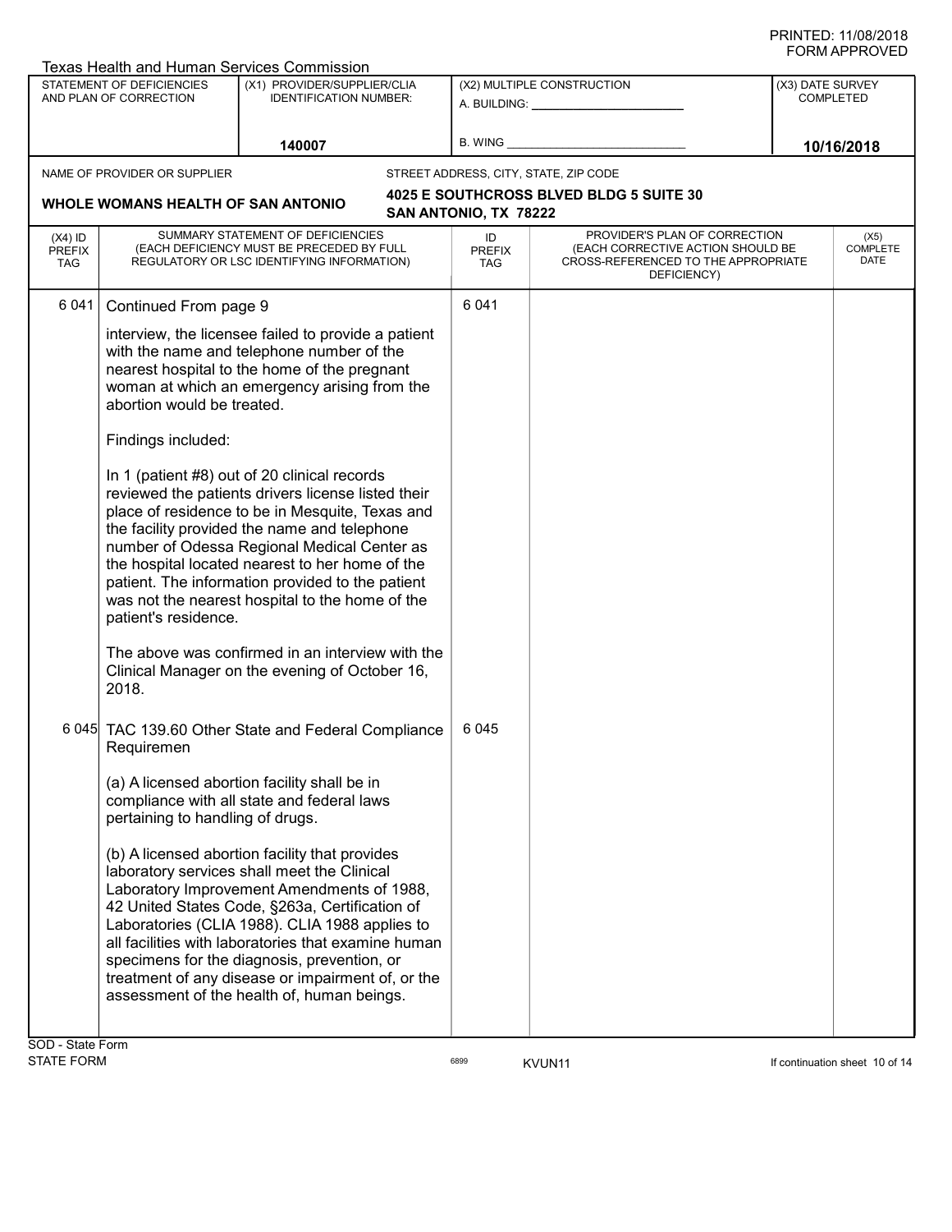|                                    | <b>Texas Health and Human Services Commission</b>                                                                                                                                                                                                                                                                                                                                                                                                                                                                                                                                                                                                                                                                                                                                                                                                         |                                                                                                                                                                                                                                                                                                                                                                                                                                                                                                                                                                 |      |                            |                                                                                                                          |                                      |                          |  |  |
|------------------------------------|-----------------------------------------------------------------------------------------------------------------------------------------------------------------------------------------------------------------------------------------------------------------------------------------------------------------------------------------------------------------------------------------------------------------------------------------------------------------------------------------------------------------------------------------------------------------------------------------------------------------------------------------------------------------------------------------------------------------------------------------------------------------------------------------------------------------------------------------------------------|-----------------------------------------------------------------------------------------------------------------------------------------------------------------------------------------------------------------------------------------------------------------------------------------------------------------------------------------------------------------------------------------------------------------------------------------------------------------------------------------------------------------------------------------------------------------|------|----------------------------|--------------------------------------------------------------------------------------------------------------------------|--------------------------------------|--------------------------|--|--|
|                                    | <b>STATEMENT OF DEFICIENCIES</b><br>AND PLAN OF CORRECTION                                                                                                                                                                                                                                                                                                                                                                                                                                                                                                                                                                                                                                                                                                                                                                                                | (X1) PROVIDER/SUPPLIER/CLIA<br><b>IDENTIFICATION NUMBER:</b>                                                                                                                                                                                                                                                                                                                                                                                                                                                                                                    |      |                            | (X2) MULTIPLE CONSTRUCTION<br>A. BUILDING: _________________                                                             | (X3) DATE SURVEY<br><b>COMPLETED</b> |                          |  |  |
|                                    |                                                                                                                                                                                                                                                                                                                                                                                                                                                                                                                                                                                                                                                                                                                                                                                                                                                           | 140007                                                                                                                                                                                                                                                                                                                                                                                                                                                                                                                                                          |      | B. WING                    |                                                                                                                          |                                      | 10/16/2018               |  |  |
|                                    | NAME OF PROVIDER OR SUPPLIER                                                                                                                                                                                                                                                                                                                                                                                                                                                                                                                                                                                                                                                                                                                                                                                                                              |                                                                                                                                                                                                                                                                                                                                                                                                                                                                                                                                                                 |      |                            | STREET ADDRESS, CITY, STATE, ZIP CODE                                                                                    |                                      |                          |  |  |
| WHOLE WOMANS HEALTH OF SAN ANTONIO |                                                                                                                                                                                                                                                                                                                                                                                                                                                                                                                                                                                                                                                                                                                                                                                                                                                           |                                                                                                                                                                                                                                                                                                                                                                                                                                                                                                                                                                 |      | SAN ANTONIO, TX 78222      | 4025 E SOUTHCROSS BLVED BLDG 5 SUITE 30                                                                                  |                                      |                          |  |  |
| $(X4)$ ID<br><b>PREFIX</b><br>TAG  |                                                                                                                                                                                                                                                                                                                                                                                                                                                                                                                                                                                                                                                                                                                                                                                                                                                           | SUMMARY STATEMENT OF DEFICIENCIES<br>(EACH DEFICIENCY MUST BE PRECEDED BY FULL<br>REGULATORY OR LSC IDENTIFYING INFORMATION)                                                                                                                                                                                                                                                                                                                                                                                                                                    |      | ID<br><b>PREFIX</b><br>TAG | PROVIDER'S PLAN OF CORRECTION<br>(EACH CORRECTIVE ACTION SHOULD BE<br>CROSS-REFERENCED TO THE APPROPRIATE<br>DEFICIENCY) |                                      | (X5)<br>COMPLETE<br>DATE |  |  |
| 6 0 4 1                            | Continued From page 9<br>abortion would be treated.<br>Findings included:                                                                                                                                                                                                                                                                                                                                                                                                                                                                                                                                                                                                                                                                                                                                                                                 | interview, the licensee failed to provide a patient<br>with the name and telephone number of the<br>nearest hospital to the home of the pregnant<br>woman at which an emergency arising from the<br>In 1 (patient #8) out of 20 clinical records<br>reviewed the patients drivers license listed their<br>place of residence to be in Mesquite, Texas and<br>the facility provided the name and telephone<br>number of Odessa Regional Medical Center as<br>the hospital located nearest to her home of the<br>patient. The information provided to the patient |      | 6 0 4 1                    |                                                                                                                          |                                      |                          |  |  |
| <b>CAD</b> Ctata Farm              | was not the nearest hospital to the home of the<br>patient's residence.<br>The above was confirmed in an interview with the<br>Clinical Manager on the evening of October 16,<br>2018.<br>6 045 TAC 139.60 Other State and Federal Compliance<br>Requiremen<br>(a) A licensed abortion facility shall be in<br>compliance with all state and federal laws<br>pertaining to handling of drugs.<br>(b) A licensed abortion facility that provides<br>laboratory services shall meet the Clinical<br>Laboratory Improvement Amendments of 1988,<br>42 United States Code, §263a, Certification of<br>Laboratories (CLIA 1988). CLIA 1988 applies to<br>all facilities with laboratories that examine human<br>specimens for the diagnosis, prevention, or<br>treatment of any disease or impairment of, or the<br>assessment of the health of, human beings. |                                                                                                                                                                                                                                                                                                                                                                                                                                                                                                                                                                 | 6045 |                            |                                                                                                                          |                                      |                          |  |  |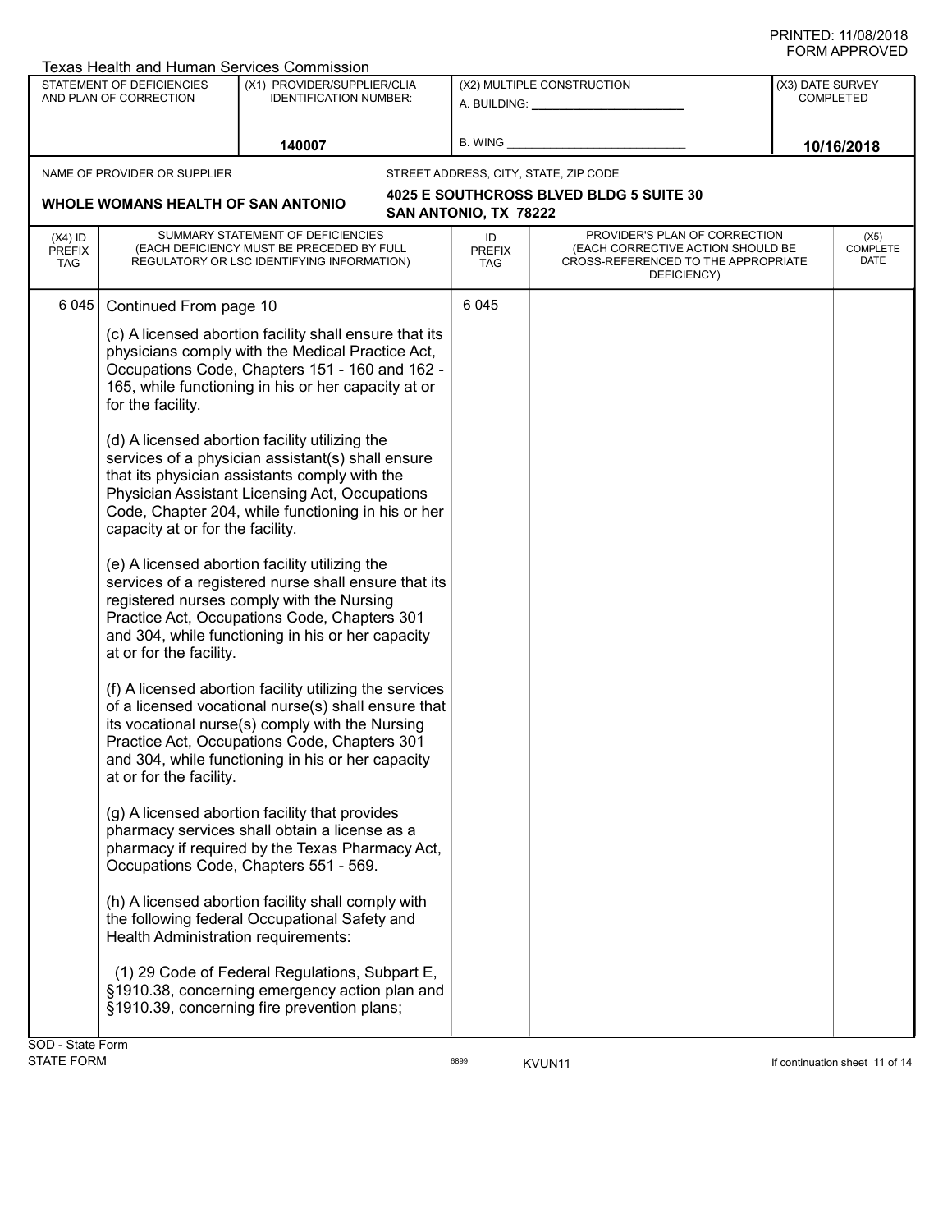|                                   | Texas Health and Human Services Commission                                                                                                                                          |                                                                                                                                                                                                                                                                                                                                                                                                                                                                                                                                                                                                                                                                                                                                                                                                                                                                                                                                                                                                                                                                                                                                                                                                                                                                                                                                                                                                                                                                                    |                                                            |                                                                                                                          |                                      |                                 |
|-----------------------------------|-------------------------------------------------------------------------------------------------------------------------------------------------------------------------------------|------------------------------------------------------------------------------------------------------------------------------------------------------------------------------------------------------------------------------------------------------------------------------------------------------------------------------------------------------------------------------------------------------------------------------------------------------------------------------------------------------------------------------------------------------------------------------------------------------------------------------------------------------------------------------------------------------------------------------------------------------------------------------------------------------------------------------------------------------------------------------------------------------------------------------------------------------------------------------------------------------------------------------------------------------------------------------------------------------------------------------------------------------------------------------------------------------------------------------------------------------------------------------------------------------------------------------------------------------------------------------------------------------------------------------------------------------------------------------------|------------------------------------------------------------|--------------------------------------------------------------------------------------------------------------------------|--------------------------------------|---------------------------------|
|                                   | <b>STATEMENT OF DEFICIENCIES</b><br>AND PLAN OF CORRECTION                                                                                                                          | (X1) PROVIDER/SUPPLIER/CLIA<br><b>IDENTIFICATION NUMBER:</b>                                                                                                                                                                                                                                                                                                                                                                                                                                                                                                                                                                                                                                                                                                                                                                                                                                                                                                                                                                                                                                                                                                                                                                                                                                                                                                                                                                                                                       | (X2) MULTIPLE CONSTRUCTION<br>A. BUILDING: _______________ |                                                                                                                          | (X3) DATE SURVEY<br><b>COMPLETED</b> |                                 |
|                                   |                                                                                                                                                                                     | 140007                                                                                                                                                                                                                                                                                                                                                                                                                                                                                                                                                                                                                                                                                                                                                                                                                                                                                                                                                                                                                                                                                                                                                                                                                                                                                                                                                                                                                                                                             | B. WING                                                    |                                                                                                                          |                                      | 10/16/2018                      |
|                                   | NAME OF PROVIDER OR SUPPLIER                                                                                                                                                        |                                                                                                                                                                                                                                                                                                                                                                                                                                                                                                                                                                                                                                                                                                                                                                                                                                                                                                                                                                                                                                                                                                                                                                                                                                                                                                                                                                                                                                                                                    |                                                            | STREET ADDRESS, CITY, STATE, ZIP CODE                                                                                    |                                      |                                 |
|                                   | WHOLE WOMANS HEALTH OF SAN ANTONIO                                                                                                                                                  |                                                                                                                                                                                                                                                                                                                                                                                                                                                                                                                                                                                                                                                                                                                                                                                                                                                                                                                                                                                                                                                                                                                                                                                                                                                                                                                                                                                                                                                                                    | SAN ANTONIO, TX 78222                                      | 4025 E SOUTHCROSS BLVED BLDG 5 SUITE 30                                                                                  |                                      |                                 |
| $(X4)$ ID<br><b>PREFIX</b><br>TAG |                                                                                                                                                                                     | SUMMARY STATEMENT OF DEFICIENCIES<br>(EACH DEFICIENCY MUST BE PRECEDED BY FULL<br>REGULATORY OR LSC IDENTIFYING INFORMATION)                                                                                                                                                                                                                                                                                                                                                                                                                                                                                                                                                                                                                                                                                                                                                                                                                                                                                                                                                                                                                                                                                                                                                                                                                                                                                                                                                       | ID<br><b>PREFIX</b><br>TAG                                 | PROVIDER'S PLAN OF CORRECTION<br>(EACH CORRECTIVE ACTION SHOULD BE<br>CROSS-REFERENCED TO THE APPROPRIATE<br>DEFICIENCY) |                                      | (X5)<br><b>COMPLETE</b><br>DATE |
| 6 0 4 5                           | Continued From page 10<br>for the facility.<br>capacity at or for the facility.<br>at or for the facility.<br>at or for the facility.<br><b>Health Administration requirements:</b> | (c) A licensed abortion facility shall ensure that its<br>physicians comply with the Medical Practice Act,<br>Occupations Code, Chapters 151 - 160 and 162 -<br>165, while functioning in his or her capacity at or<br>(d) A licensed abortion facility utilizing the<br>services of a physician assistant(s) shall ensure<br>that its physician assistants comply with the<br>Physician Assistant Licensing Act, Occupations<br>Code, Chapter 204, while functioning in his or her<br>(e) A licensed abortion facility utilizing the<br>services of a registered nurse shall ensure that its<br>registered nurses comply with the Nursing<br>Practice Act, Occupations Code, Chapters 301<br>and 304, while functioning in his or her capacity<br>(f) A licensed abortion facility utilizing the services<br>of a licensed vocational nurse(s) shall ensure that<br>its vocational nurse(s) comply with the Nursing<br>Practice Act, Occupations Code, Chapters 301<br>and 304, while functioning in his or her capacity<br>(g) A licensed abortion facility that provides<br>pharmacy services shall obtain a license as a<br>pharmacy if required by the Texas Pharmacy Act,<br>Occupations Code, Chapters 551 - 569.<br>(h) A licensed abortion facility shall comply with<br>the following federal Occupational Safety and<br>(1) 29 Code of Federal Regulations, Subpart E,<br>§1910.38, concerning emergency action plan and<br>§1910.39, concerning fire prevention plans; | 6 0 4 5                                                    |                                                                                                                          |                                      |                                 |
| SOD - State Form                  |                                                                                                                                                                                     |                                                                                                                                                                                                                                                                                                                                                                                                                                                                                                                                                                                                                                                                                                                                                                                                                                                                                                                                                                                                                                                                                                                                                                                                                                                                                                                                                                                                                                                                                    |                                                            |                                                                                                                          |                                      |                                 |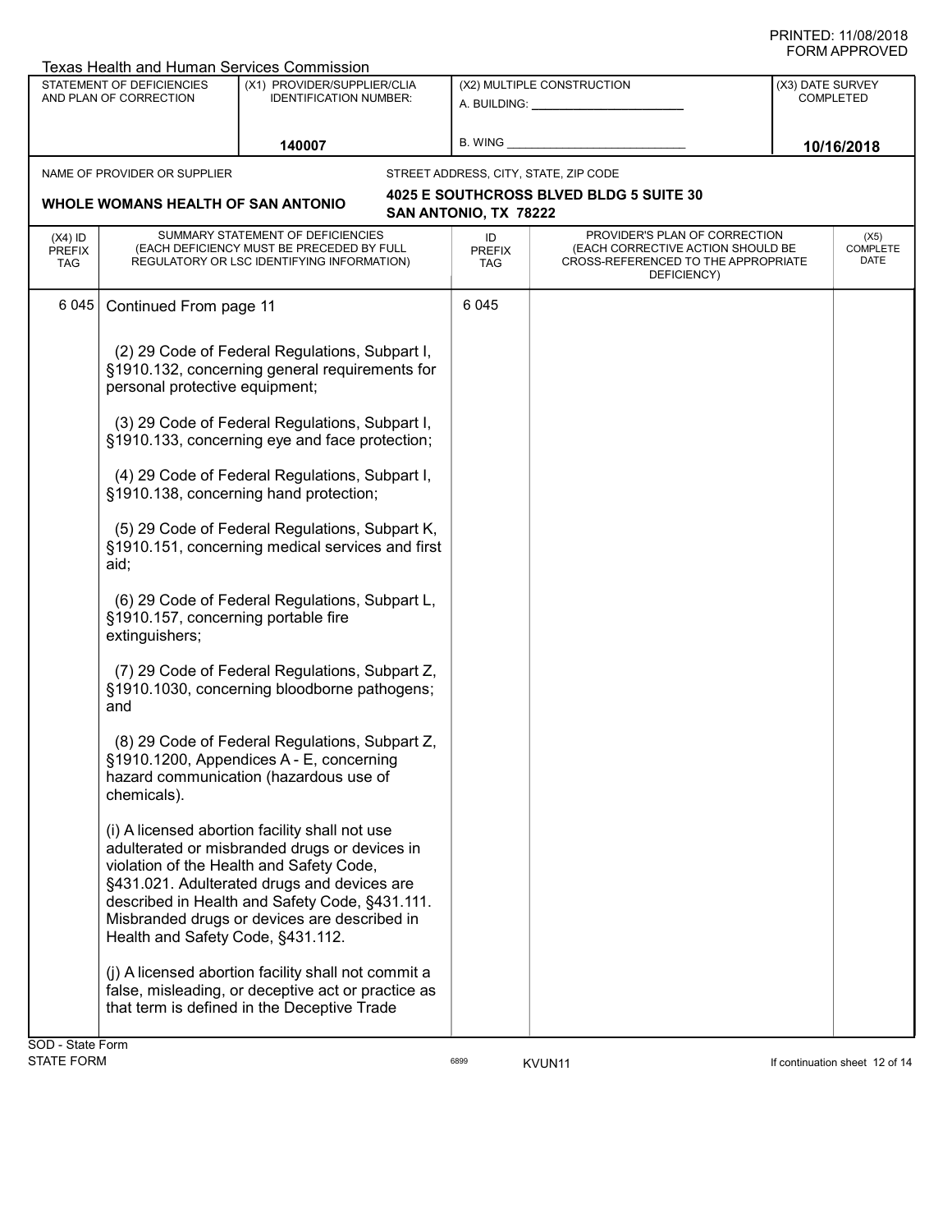| <b>Texas Health and Human Services Commission</b>   |                                                                                                                                                                                                                                                                                                                                                                                                                            |                                                                                                                                                                                                                                                                                              |         |                            |                                                                                                                          |  |                               |  |  |
|-----------------------------------------------------|----------------------------------------------------------------------------------------------------------------------------------------------------------------------------------------------------------------------------------------------------------------------------------------------------------------------------------------------------------------------------------------------------------------------------|----------------------------------------------------------------------------------------------------------------------------------------------------------------------------------------------------------------------------------------------------------------------------------------------|---------|----------------------------|--------------------------------------------------------------------------------------------------------------------------|--|-------------------------------|--|--|
| STATEMENT OF DEFICIENCIES<br>AND PLAN OF CORRECTION |                                                                                                                                                                                                                                                                                                                                                                                                                            | (X1) PROVIDER/SUPPLIER/CLIA<br><b>IDENTIFICATION NUMBER:</b>                                                                                                                                                                                                                                 |         | (X2) MULTIPLE CONSTRUCTION |                                                                                                                          |  | (X3) DATE SURVEY<br>COMPLETED |  |  |
| 140007                                              |                                                                                                                                                                                                                                                                                                                                                                                                                            | <b>B. WING</b>                                                                                                                                                                                                                                                                               |         |                            | 10/16/2018                                                                                                               |  |                               |  |  |
|                                                     | NAME OF PROVIDER OR SUPPLIER                                                                                                                                                                                                                                                                                                                                                                                               |                                                                                                                                                                                                                                                                                              |         |                            | STREET ADDRESS, CITY, STATE, ZIP CODE                                                                                    |  |                               |  |  |
|                                                     | WHOLE WOMANS HEALTH OF SAN ANTONIO                                                                                                                                                                                                                                                                                                                                                                                         |                                                                                                                                                                                                                                                                                              |         | SAN ANTONIO, TX 78222      | 4025 E SOUTHCROSS BLVED BLDG 5 SUITE 30                                                                                  |  |                               |  |  |
| $(X4)$ ID<br><b>PREFIX</b><br>TAG                   |                                                                                                                                                                                                                                                                                                                                                                                                                            | SUMMARY STATEMENT OF DEFICIENCIES<br>(EACH DEFICIENCY MUST BE PRECEDED BY FULL<br>REGULATORY OR LSC IDENTIFYING INFORMATION)                                                                                                                                                                 |         | ID<br><b>PREFIX</b><br>TAG | PROVIDER'S PLAN OF CORRECTION<br>(EACH CORRECTIVE ACTION SHOULD BE<br>CROSS-REFERENCED TO THE APPROPRIATE<br>DEFICIENCY) |  | (X5)<br>COMPLETE<br>DATE      |  |  |
| 6045                                                | Continued From page 11                                                                                                                                                                                                                                                                                                                                                                                                     |                                                                                                                                                                                                                                                                                              | 6 0 4 5 |                            |                                                                                                                          |  |                               |  |  |
|                                                     | (2) 29 Code of Federal Regulations, Subpart I,<br>§1910.132, concerning general requirements for<br>personal protective equipment;<br>(3) 29 Code of Federal Regulations, Subpart I,<br>§1910.133, concerning eye and face protection;                                                                                                                                                                                     |                                                                                                                                                                                                                                                                                              |         |                            |                                                                                                                          |  |                               |  |  |
|                                                     |                                                                                                                                                                                                                                                                                                                                                                                                                            |                                                                                                                                                                                                                                                                                              |         |                            |                                                                                                                          |  |                               |  |  |
|                                                     | (4) 29 Code of Federal Regulations, Subpart I,<br>§1910.138, concerning hand protection;<br>(5) 29 Code of Federal Regulations, Subpart K,<br>§1910.151, concerning medical services and first<br>aid;<br>(6) 29 Code of Federal Regulations, Subpart L,<br>§1910.157, concerning portable fire<br>extinguishers;<br>(7) 29 Code of Federal Regulations, Subpart Z,<br>§1910.1030, concerning bloodborne pathogens;<br>and |                                                                                                                                                                                                                                                                                              |         |                            |                                                                                                                          |  |                               |  |  |
|                                                     |                                                                                                                                                                                                                                                                                                                                                                                                                            |                                                                                                                                                                                                                                                                                              |         |                            |                                                                                                                          |  |                               |  |  |
|                                                     |                                                                                                                                                                                                                                                                                                                                                                                                                            |                                                                                                                                                                                                                                                                                              |         |                            |                                                                                                                          |  |                               |  |  |
|                                                     |                                                                                                                                                                                                                                                                                                                                                                                                                            |                                                                                                                                                                                                                                                                                              |         |                            |                                                                                                                          |  |                               |  |  |
|                                                     | chemicals).                                                                                                                                                                                                                                                                                                                                                                                                                | (8) 29 Code of Federal Regulations, Subpart Z,<br>§1910.1200, Appendices A - E, concerning<br>hazard communication (hazardous use of                                                                                                                                                         |         |                            |                                                                                                                          |  |                               |  |  |
|                                                     | Health and Safety Code, §431.112.                                                                                                                                                                                                                                                                                                                                                                                          | (i) A licensed abortion facility shall not use<br>adulterated or misbranded drugs or devices in<br>violation of the Health and Safety Code,<br>§431.021. Adulterated drugs and devices are<br>described in Health and Safety Code, §431.111.<br>Misbranded drugs or devices are described in |         |                            |                                                                                                                          |  |                               |  |  |
|                                                     |                                                                                                                                                                                                                                                                                                                                                                                                                            | (j) A licensed abortion facility shall not commit a<br>false, misleading, or deceptive act or practice as<br>that term is defined in the Deceptive Trade                                                                                                                                     |         |                            |                                                                                                                          |  |                               |  |  |
| SOD - State Form                                    |                                                                                                                                                                                                                                                                                                                                                                                                                            |                                                                                                                                                                                                                                                                                              |         |                            |                                                                                                                          |  |                               |  |  |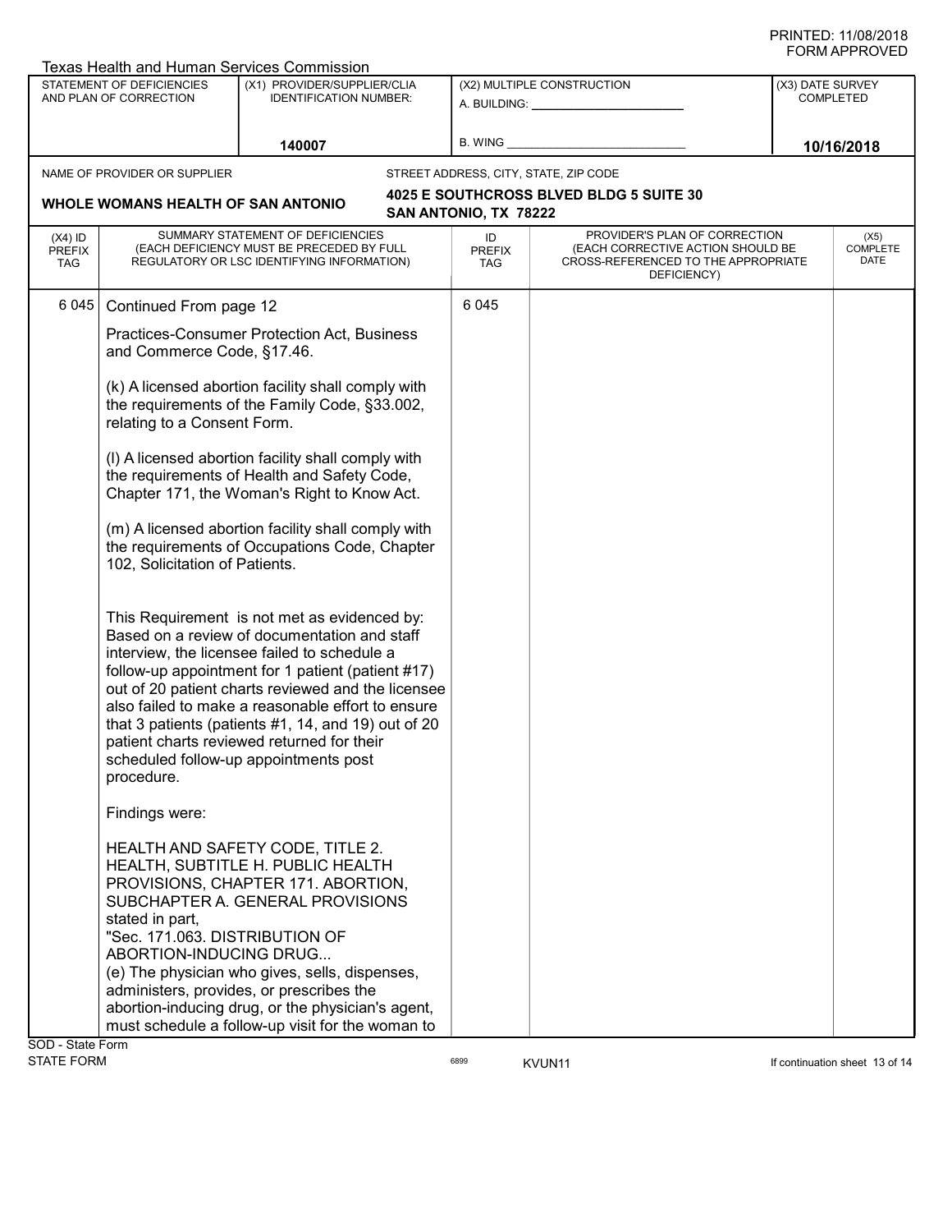| Texas Health and Human Services Commission                 |                                                                                                                                                                                                                                                                                                                                                                                                                                                                                                            |                                                                                                                              |                                                              |                            |                                                                                                                          |  |                                      |  |
|------------------------------------------------------------|------------------------------------------------------------------------------------------------------------------------------------------------------------------------------------------------------------------------------------------------------------------------------------------------------------------------------------------------------------------------------------------------------------------------------------------------------------------------------------------------------------|------------------------------------------------------------------------------------------------------------------------------|--------------------------------------------------------------|----------------------------|--------------------------------------------------------------------------------------------------------------------------|--|--------------------------------------|--|
| <b>STATEMENT OF DEFICIENCIES</b><br>AND PLAN OF CORRECTION |                                                                                                                                                                                                                                                                                                                                                                                                                                                                                                            |                                                                                                                              | (X1) PROVIDER/SUPPLIER/CLIA<br><b>IDENTIFICATION NUMBER:</b> |                            | (X2) MULTIPLE CONSTRUCTION                                                                                               |  | (X3) DATE SURVEY<br><b>COMPLETED</b> |  |
| 140007                                                     |                                                                                                                                                                                                                                                                                                                                                                                                                                                                                                            | B. WING                                                                                                                      |                                                              |                            | 10/16/2018                                                                                                               |  |                                      |  |
|                                                            | NAME OF PROVIDER OR SUPPLIER                                                                                                                                                                                                                                                                                                                                                                                                                                                                               |                                                                                                                              |                                                              |                            | STREET ADDRESS, CITY, STATE, ZIP CODE                                                                                    |  |                                      |  |
|                                                            | WHOLE WOMANS HEALTH OF SAN ANTONIO                                                                                                                                                                                                                                                                                                                                                                                                                                                                         |                                                                                                                              |                                                              | SAN ANTONIO, TX 78222      | 4025 E SOUTHCROSS BLVED BLDG 5 SUITE 30                                                                                  |  |                                      |  |
| $(X4)$ ID<br><b>PREFIX</b><br><b>TAG</b>                   |                                                                                                                                                                                                                                                                                                                                                                                                                                                                                                            | SUMMARY STATEMENT OF DEFICIENCIES<br>(EACH DEFICIENCY MUST BE PRECEDED BY FULL<br>REGULATORY OR LSC IDENTIFYING INFORMATION) |                                                              | ID<br><b>PREFIX</b><br>TAG | PROVIDER'S PLAN OF CORRECTION<br>(EACH CORRECTIVE ACTION SHOULD BE<br>CROSS-REFERENCED TO THE APPROPRIATE<br>DEFICIENCY) |  | (X5)<br><b>COMPLETE</b><br>DATE      |  |
|                                                            | Practices-Consumer Protection Act, Business<br>and Commerce Code, §17.46.<br>(k) A licensed abortion facility shall comply with<br>the requirements of the Family Code, §33.002,<br>relating to a Consent Form.<br>(I) A licensed abortion facility shall comply with<br>the requirements of Health and Safety Code,<br>Chapter 171, the Woman's Right to Know Act.<br>(m) A licensed abortion facility shall comply with<br>the requirements of Occupations Code, Chapter                                 |                                                                                                                              |                                                              |                            |                                                                                                                          |  |                                      |  |
|                                                            | 102, Solicitation of Patients.<br>This Requirement is not met as evidenced by:<br>Based on a review of documentation and staff<br>interview, the licensee failed to schedule a<br>follow-up appointment for 1 patient (patient #17)<br>out of 20 patient charts reviewed and the licensee<br>also failed to make a reasonable effort to ensure<br>that 3 patients (patients #1, 14, and 19) out of 20<br>patient charts reviewed returned for their<br>scheduled follow-up appointments post<br>procedure. |                                                                                                                              |                                                              |                            |                                                                                                                          |  |                                      |  |
|                                                            | Findings were:<br>HEALTH AND SAFETY CODE, TITLE 2.<br>HEALTH, SUBTITLE H. PUBLIC HEALTH<br>PROVISIONS, CHAPTER 171. ABORTION,<br>SUBCHAPTER A. GENERAL PROVISIONS<br>stated in part,<br>"Sec. 171.063. DISTRIBUTION OF<br>ABORTION-INDUCING DRUG<br>(e) The physician who gives, sells, dispenses,<br>administers, provides, or prescribes the<br>abortion-inducing drug, or the physician's agent,<br>must schedule a follow-up visit for the woman to<br><b>CAD</b> Ctata Earm                           |                                                                                                                              |                                                              |                            |                                                                                                                          |  |                                      |  |